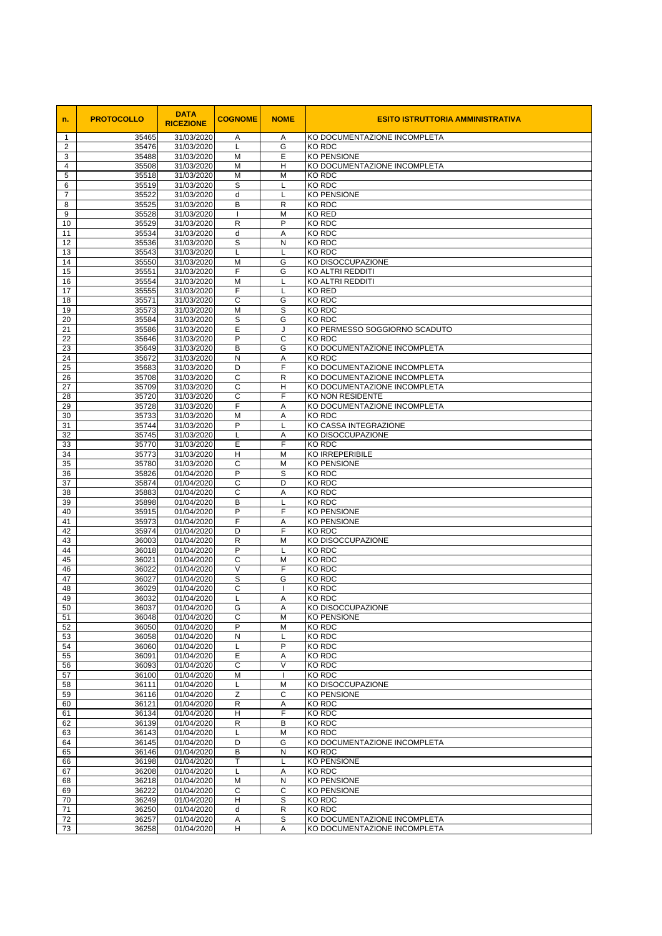| n.                  | <b>PROTOCOLLO</b> | <b>DATA</b><br><b>RICEZIONE</b> | <b>COGNOME</b>         | <b>NOME</b>        | <b>ESITO ISTRUTTORIA AMMINISTRATIVA</b>                      |
|---------------------|-------------------|---------------------------------|------------------------|--------------------|--------------------------------------------------------------|
| -1                  | 35465             | 31/03/2020                      | A                      | A                  | KO DOCUMENTAZIONE INCOMPLETA                                 |
| $\overline{2}$<br>3 | 35476<br>35488    | 31/03/2020<br>31/03/2020        | L<br>M                 | G<br>E             | <b>KO RDC</b><br><b>KO PENSIONE</b>                          |
| 4                   | 35508             | 31/03/2020                      | M                      | H                  | KO DOCUMENTAZIONE INCOMPLETA                                 |
| 5                   | 35518             | 31/03/2020                      | M                      | M                  | KO RDC                                                       |
| 6                   | 35519             | 31/03/2020                      | S                      |                    | KO RDC                                                       |
| $\overline{7}$<br>8 | 35522<br>35525    | 31/03/2020<br>31/03/2020        | d<br>B                 | $\mathsf{R}$       | <b>KO PENSIONE</b><br><b>KO RDC</b>                          |
| 9                   | 35528             | 31/03/2020                      |                        | M                  | <b>KO RED</b>                                                |
| 10                  | 35529             | 31/03/2020                      | R                      | P                  | <b>KO RDC</b>                                                |
| 11                  | 35534             | 31/03/2020                      | d                      | A                  | <b>KO RDC</b>                                                |
| 12<br>13            | 35536<br>35543    | 31/03/2020<br>31/03/2020        | S<br>L                 | N                  | KO RDC<br><b>KO RDC</b>                                      |
| 14                  | 35550             | 31/03/2020                      | M                      | G                  | KO DISOCCUPAZIONE                                            |
| 15                  | 35551             | 31/03/2020                      | F                      | G                  | KO ALTRI REDDITI                                             |
| 16                  | 35554             | 31/03/2020                      | M                      |                    | <b>KO ALTRI REDDITI</b>                                      |
| 17                  | 35555<br>35571    | 31/03/2020<br>31/03/2020        | F<br>C                 |                    | <b>KO RED</b><br><b>KO RDC</b>                               |
| 18<br>19            | 35573             | 31/03/2020                      | M                      | G<br>S             | <b>KO RDC</b>                                                |
| 20                  | 35584             | 31/03/2020                      | S                      | G                  | <b>KO RDC</b>                                                |
| 21                  | 35586             | 31/03/2020                      | E                      |                    | KO PERMESSO SOGGIORNO SCADUTO                                |
| 22                  | 35646             | 31/03/2020                      | P                      | $\mathsf{C}$       | <b>KO RDC</b>                                                |
| 23<br>24            | 35649<br>35672    | 31/03/2020<br>31/03/2020        | B<br>${\sf N}$         | G<br>A             | KO DOCUMENTAZIONE INCOMPLETA<br><b>KO RDC</b>                |
| 25                  | 35683             | 31/03/2020                      | D                      | F                  | KO DOCUMENTAZIONE INCOMPLETA                                 |
| 26                  | 35708             | 31/03/2020                      | C                      | $\mathsf{R}$       | KO DOCUMENTAZIONE INCOMPLETA                                 |
| 27                  | 35709             | 31/03/2020                      | C                      | H                  | KO DOCUMENTAZIONE INCOMPLETA                                 |
| 28                  | 35720             | 31/03/2020                      | C<br>F                 | F                  | <b>KO NON RESIDENTE</b>                                      |
| 29<br>30            | 35728<br>35733    | 31/03/2020<br>31/03/2020        | M                      | A<br>Α             | KO DOCUMENTAZIONE INCOMPLETA<br>KO RDC                       |
| 31                  | 35744             | 31/03/2020                      | P                      |                    | KO CASSA INTEGRAZIONE                                        |
| 32                  | 35745             | 31/03/2020                      |                        | Α                  | KO DISOCCUPAZIONE                                            |
| 33                  | 35770             | 31/03/2020                      | F.                     | F                  | IKO RDC                                                      |
| 34<br>35            | 35773<br>35780    | 31/03/2020<br>31/03/2020        | н<br>C                 | M<br>M             | <b>KO IRREPERIBILE</b><br><b>KO PENSIONE</b>                 |
| 36                  | 35826             | 01/04/2020                      | P                      | S                  | <b>KO RDC</b>                                                |
| 37                  | 35874             | 01/04/2020                      | C                      | D                  | <b>KO RDC</b>                                                |
| 38                  | 35883             | 01/04/2020                      | C                      | A                  | KO RDC                                                       |
| 39                  | 35898             | 01/04/2020                      | B<br>P                 | F                  | <b>KO RDC</b><br><b>KO PENSIONE</b>                          |
| 40<br>41            | 35915<br>35973    | 01/04/2020<br>01/04/2020        | F                      | A                  | <b>KO PENSIONE</b>                                           |
| 42                  | 35974             | 01/04/2020                      | D                      | F                  | <b>KO RDC</b>                                                |
| 43                  | 36003             | 01/04/2020                      | R                      | M                  | KO DISOCCUPAZIONE                                            |
| 44                  | 36018             | 01/04/2020                      | P                      |                    | <b>KO RDC</b>                                                |
| 45<br>46            | 36021<br>36022    | 01/04/2020<br>01/04/2020        | C<br>$\overline{\vee}$ | M<br>F             | <b>KO RDC</b><br>KO RDC                                      |
| 47                  | 36027             | 01/04/2020                      | S                      | G                  | KO RDC                                                       |
| 48                  | 36029             | 01/04/2020                      | $\mathsf C$            |                    | <b>KO RDC</b>                                                |
| 49                  | 36032             | 01/04/2020                      | L                      | A                  | <b>KO RDC</b>                                                |
| 50                  | 36037             | 01/04/2020                      | G                      | A                  | KO DISOCCUPAZIONE                                            |
| 51<br>52            | 36048<br>36050    | 01/04/2020<br>01/04/2020        | C<br>P                 | M<br>M             | <b>KO PENSIONE</b><br><b>KO RDC</b>                          |
| 53                  | 36058             | 01/04/2020                      | N                      |                    | <b>KO RDC</b>                                                |
| 54                  | 36060             | 01/04/2020                      |                        | P                  | KO RDC                                                       |
| 55                  | 36091             | 01/04/2020                      | E                      | A                  | KO RDC                                                       |
| 56<br>57            | 36093<br>36100    | 01/04/2020<br>01/04/2020        | $\mathsf C$<br>M       | $\vee$             | KO RDC<br><b>KO RDC</b>                                      |
| 58                  | 36111             | 01/04/2020                      |                        | M                  | KO DISOCCUPAZIONE                                            |
| 59                  | 36116             | 01/04/2020                      | Z                      | $\mathsf{C}$       | <b>KO PENSIONE</b>                                           |
| 60                  | 36121             | 01/04/2020                      | R                      | A                  | <b>KO RDC</b>                                                |
| 61<br>62            | 36134<br>36139    | 01/04/2020<br>01/04/2020        | H<br>R                 | F<br>B             | <b>KO RDC</b><br>KO RDC                                      |
| 63                  | 36143             | 01/04/2020                      |                        | M                  | <b>KO RDC</b>                                                |
| 64                  | 36145             | 01/04/2020                      | D                      | G                  | KO DOCUMENTAZIONE INCOMPLETA                                 |
| 65                  | 36146             | 01/04/2020                      | B                      | $\mathsf{N}$       | KO RDC                                                       |
| 66                  | 36198             | 01/04/2020                      | T                      |                    | <b>KO PENSIONE</b>                                           |
| 67<br>68            | 36208<br>36218    | 01/04/2020<br>01/04/2020        | M                      | A<br>N             | <b>KO RDC</b><br><b>KO PENSIONE</b>                          |
| 69                  | 36222             | 01/04/2020                      | C                      | $\mathsf{C}$       | <b>KO PENSIONE</b>                                           |
| 70                  | 36249             | 01/04/2020                      | Н                      | S                  | <b>KO RDC</b>                                                |
| 71                  | 36250             | 01/04/2020                      | d                      | R                  | <b>KO RDC</b>                                                |
| 72<br>73            | 36257<br>36258    | 01/04/2020<br>01/04/2020        | Α<br>$\overline{H}$    | ${\mathsf S}$<br>A | KO DOCUMENTAZIONE INCOMPLETA<br>KO DOCUMENTAZIONE INCOMPLETA |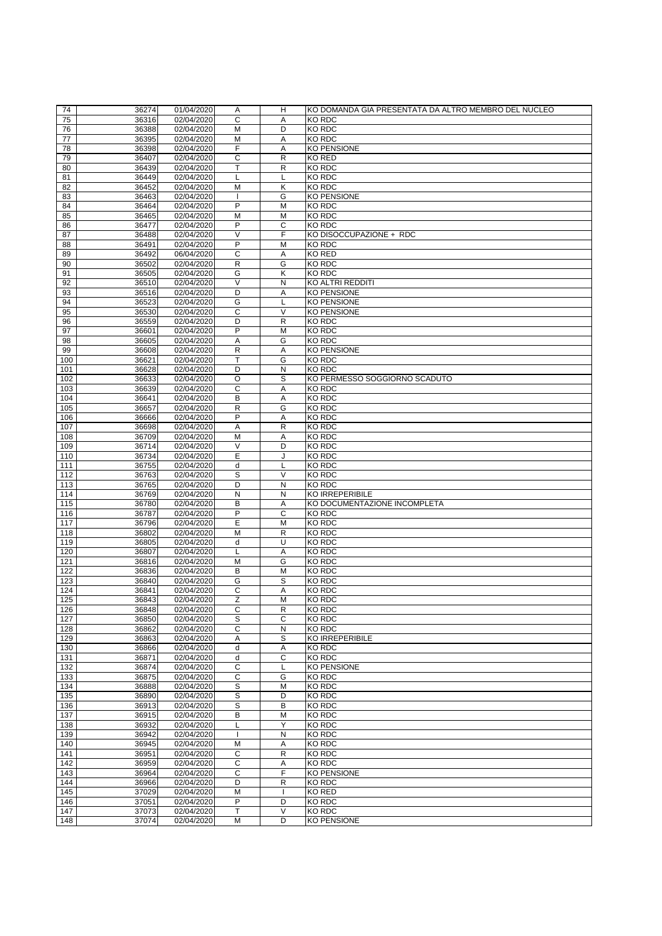| 74  | 36274 | 01/04/2020 | A              | Η              | IKO DOMANDA GIA PRESENTATA DA ALTRO MEMBRO DEL NUCLEO |
|-----|-------|------------|----------------|----------------|-------------------------------------------------------|
| 75  | 36316 | 02/04/2020 | C              | A              | <b>KO RDC</b>                                         |
| 76  | 36388 | 02/04/2020 | M              | D              | <b>KO RDC</b>                                         |
| 77  | 36395 | 02/04/2020 | M              | A              | <b>KO RDC</b>                                         |
| 78  | 36398 | 02/04/2020 | F              | Α              | <b>KO PENSIONE</b>                                    |
| 79  | 36407 | 02/04/2020 | $\mathsf C$    | $\mathsf{R}$   | <b>KO RED</b>                                         |
| 80  | 36439 | 02/04/2020 | T              | $\mathsf{R}$   | KO RDC                                                |
| 81  | 36449 | 02/04/2020 |                |                | <b>KO RDC</b>                                         |
| 82  | 36452 |            | M              |                | <b>KO RDC</b>                                         |
|     |       | 02/04/2020 |                | Κ              |                                                       |
| 83  | 36463 | 02/04/2020 |                | G              | KO PENSIONE                                           |
| 84  | 36464 | 02/04/2020 | P              | M              | <b>KO RDC</b>                                         |
| 85  | 36465 | 02/04/2020 | M              | M              | <b>KO RDC</b>                                         |
| 86  | 36477 | 02/04/2020 | P              | $\mathsf{C}$   | <b>KO RDC</b>                                         |
| 87  | 36488 | 02/04/2020 | V              | F              | KO DISOCCUPAZIONE + RDC                               |
| 88  | 36491 | 02/04/2020 | P              | M              | <b>KO RDC</b>                                         |
| 89  | 36492 | 06/04/2020 | C              | A              | <b>KO RED</b>                                         |
| 90  | 36502 | 02/04/2020 | R              | G              | <b>KO RDC</b>                                         |
| 91  | 36505 | 02/04/2020 | G              | Κ              | <b>KO RDC</b>                                         |
| 92  | 36510 | 02/04/2020 | $\vee$         | N              | <b>KO ALTRI REDDITI</b>                               |
| 93  | 36516 | 02/04/2020 | D              | A              | <b>KO PENSIONE</b>                                    |
| 94  | 36523 | 02/04/2020 | G              |                | <b>KO PENSIONE</b>                                    |
| 95  | 36530 | 02/04/2020 | $\mathsf{C}$   | $\vee$         | <b>KO PENSIONE</b>                                    |
| 96  | 36559 | 02/04/2020 | D              | $\mathsf{R}$   | <b>KO RDC</b>                                         |
| 97  | 36601 | 02/04/2020 | P              | M              | KO RDC                                                |
|     |       |            |                |                |                                                       |
| 98  | 36605 | 02/04/2020 | Α              | G              | <b>KO RDC</b>                                         |
| 99  | 36608 | 02/04/2020 | R              | Α              | <b>KO PENSIONE</b>                                    |
| 100 | 36621 | 02/04/2020 | т              | G              | <b>KO RDC</b>                                         |
| 101 | 36628 | 02/04/2020 | D              | N              | <b>KO RDC</b>                                         |
| 102 | 36633 | 02/04/2020 | $\overline{O}$ | $\overline{s}$ | KO PERMESSO SOGGIORNO SCADUTO                         |
| 103 | 36639 | 02/04/2020 | $\mathsf{C}$   | A              | <b>KO RDC</b>                                         |
| 104 | 36641 | 02/04/2020 | B              | A              | <b>KO RDC</b>                                         |
| 105 | 36657 | 02/04/2020 | $\mathsf{R}$   | G              | <b>KO RDC</b>                                         |
| 106 | 36666 | 02/04/2020 | P              | A              | <b>KO RDC</b>                                         |
| 107 | 36698 | 02/04/2020 | A              | $\mathsf{R}$   | <b>KO RDC</b>                                         |
| 108 | 36709 | 02/04/2020 | M              | A              | <b>KO RDC</b>                                         |
| 109 | 36714 | 02/04/2020 | V              | D              | <b>KO RDC</b>                                         |
| 110 | 36734 | 02/04/2020 | E              |                | <b>KO RDC</b>                                         |
| 111 | 36755 | 02/04/2020 | d              |                | <b>KO RDC</b>                                         |
|     |       |            | S              | $\vee$         | <b>KO RDC</b>                                         |
| 112 | 36763 | 02/04/2020 |                |                |                                                       |
| 113 | 36765 | 02/04/2020 | D              | N              | <b>KO RDC</b>                                         |
| 114 | 36769 | 02/04/2020 | ${\sf N}$      | N              | <b>KO IRREPERIBILE</b>                                |
| 115 | 36780 | 02/04/2020 | B              | Α              | KO DOCUMENTAZIONE INCOMPLETA                          |
| 116 | 36787 | 02/04/2020 | P              | $\mathsf{C}$   | <b>KO RDC</b>                                         |
| 117 | 36796 | 02/04/2020 | E              | M              | <b>KO RDC</b>                                         |
| 118 | 36802 | 02/04/2020 | M              | $\mathsf{R}$   | <b>KO RDC</b>                                         |
| 119 | 36805 | 02/04/2020 | d              | U              | KO RDC                                                |
| 120 | 36807 | 02/04/2020 |                | A              | <b>KO RDC</b>                                         |
| 121 | 36816 | 02/04/2020 | M              | G              | <b>KO RDC</b>                                         |
| 122 | 36836 | 02/04/2020 | B              | M              | <b>KO RDC</b>                                         |
| 123 | 36840 | 02/04/2020 | G              | S              | <b>KO RDC</b>                                         |
| 124 | 36841 | 02/04/2020 | C              | A              | <b>KO RDC</b>                                         |
| 125 | 36843 | 02/04/2020 | Z              | M              | <b>KO RDC</b>                                         |
| 126 | 36848 | 02/04/2020 | C              | $\mathsf{R}$   | <b>KO RDC</b>                                         |
| 127 | 36850 | 02/04/2020 | S              | $\mathsf C$    | <b>KO RDC</b>                                         |
| 128 | 36862 | 02/04/2020 | C              | N              | <b>KO RDC</b>                                         |
|     |       |            |                |                |                                                       |
| 129 | 36863 | 02/04/2020 | A              | S              | <b>KO IRREPERIBILE</b>                                |
| 130 | 36866 | 02/04/2020 | d              | A              | <b>KO RDC</b>                                         |
| 131 | 36871 | 02/04/2020 | d              | C              | <b>KO RDC</b>                                         |
| 132 | 36874 | 02/04/2020 | C              |                | <b>KO PENSIONE</b>                                    |
| 133 | 36875 | 02/04/2020 | C              | G              | <b>KO RDC</b>                                         |
| 134 | 36888 | 02/04/2020 | $\mathbf S$    | M              | <b>KO RDC</b>                                         |
| 135 | 36890 | 02/04/2020 | S              | D              | <b>KO RDC</b>                                         |
| 136 | 36913 | 02/04/2020 | $\mathbf S$    | B              | <b>KO RDC</b>                                         |
| 137 | 36915 | 02/04/2020 | B              | M              | <b>KO RDC</b>                                         |
| 138 | 36932 | 02/04/2020 |                | Y              | <b>KO RDC</b>                                         |
| 139 | 36942 | 02/04/2020 |                | N              | <b>KO RDC</b>                                         |
| 140 | 36945 | 02/04/2020 | M              | Α              | <b>KO RDC</b>                                         |
| 141 | 36951 | 02/04/2020 | C              | R              | KO RDC                                                |
| 142 | 36959 | 02/04/2020 | C              | A              | <b>KO RDC</b>                                         |
| 143 | 36964 | 02/04/2020 | C              | F              | <b>KO PENSIONE</b>                                    |
|     |       |            |                |                |                                                       |
| 144 | 36966 | 02/04/2020 | D              | $\mathsf{R}$   | <b>KO RDC</b>                                         |
| 145 | 37029 | 02/04/2020 | M              |                | KO RED                                                |
| 146 | 37051 | 02/04/2020 | P              | D              | <b>KO RDC</b>                                         |
| 147 | 37073 | 02/04/2020 | $\mathsf T$    | $\vee$         | KO RDC                                                |
| 148 | 37074 | 02/04/2020 | M              | D              | KO PENSIONE                                           |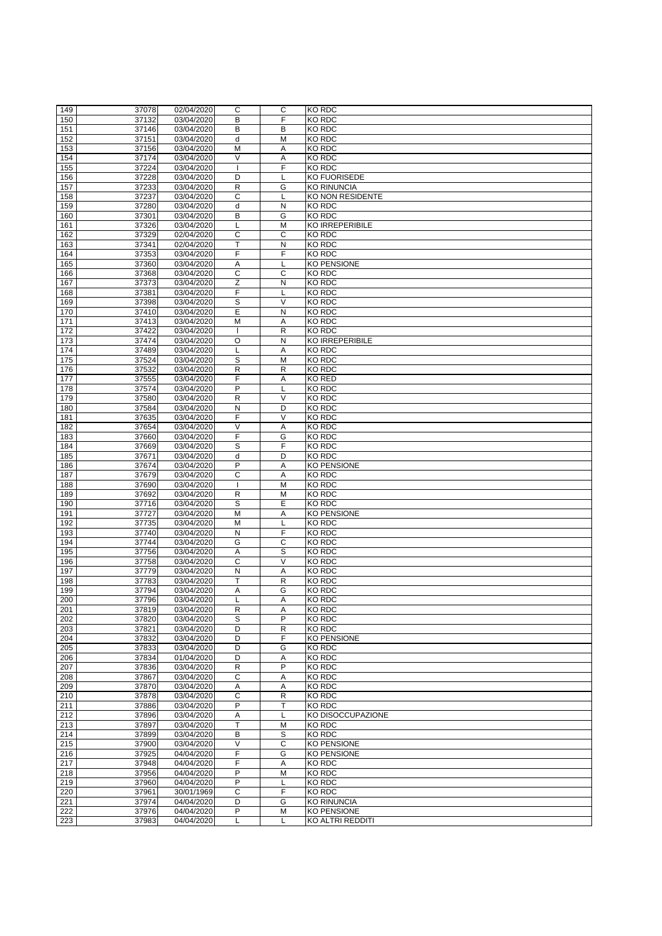| 149              | 37078 | 02/04/2020 | C              | $\mathsf{C}$ | KO RDC                  |
|------------------|-------|------------|----------------|--------------|-------------------------|
|                  |       |            |                |              |                         |
| 150              | 37132 | 03/04/2020 | B              | F            | <b>KO RDC</b>           |
| 151              | 37146 | 03/04/2020 | B              | B            | <b>KO RDC</b>           |
| 152              | 37151 | 03/04/2020 | d              | M            | <b>KO RDC</b>           |
| 153              | 37156 | 03/04/2020 | M              | A            | KO RDC                  |
|                  |       |            |                |              |                         |
| 154              | 37174 | 03/04/2020 | $\vee$         | Α            | <b>KO RDC</b>           |
| 155              | 37224 | 03/04/2020 |                | F            | <b>KO RDC</b>           |
| 156              | 37228 | 03/04/2020 | D              |              | <b>KO FUORISEDE</b>     |
| 157              | 37233 | 03/04/2020 | R              | G            | <b>KO RINUNCIA</b>      |
|                  |       |            |                |              |                         |
| 158              | 37237 | 03/04/2020 | C              |              | <b>KO NON RESIDENTE</b> |
| 159              | 37280 | 03/04/2020 | d              | ${\sf N}$    | <b>KO RDC</b>           |
| 160              | 37301 | 03/04/2020 | B              | G            | <b>KO RDC</b>           |
| 161              | 37326 | 03/04/2020 | L              | M            | <b>KO IRREPERIBILE</b>  |
|                  |       |            |                | $\mathsf{C}$ |                         |
| 162              | 37329 | 02/04/2020 | C              |              | <b>KO RDC</b>           |
| 163              | 37341 | 02/04/2020 | T              | $\mathsf{N}$ | <b>KO RDC</b>           |
| 164              | 37353 | 03/04/2020 | F              | F            | <b>KO RDC</b>           |
| 165              | 37360 | 03/04/2020 | Α              |              | <b>KO PENSIONE</b>      |
|                  |       |            |                |              |                         |
| 166              | 37368 | 03/04/2020 | C              | $\mathsf{C}$ | <b>KO RDC</b>           |
| 167              | 37373 | 03/04/2020 | $\overline{Z}$ | N            | <b>KO RDC</b>           |
| 168              | 37381 | 03/04/2020 | F              |              | <b>KO RDC</b>           |
| 169              | 37398 | 03/04/2020 | S              | $\vee$       | <b>KO RDC</b>           |
|                  |       |            |                |              |                         |
| 170              | 37410 | 03/04/2020 | E              | N            | <b>KO RDC</b>           |
| 171              | 37413 | 03/04/2020 | M              | Α            | <b>KO RDC</b>           |
| 172              | 37422 | 03/04/2020 |                | $\mathsf{R}$ | <b>KO RDC</b>           |
| 173              | 37474 | 03/04/2020 | $\circ$        | $\mathsf{N}$ | <b>KO IRREPERIBILE</b>  |
|                  |       |            |                |              |                         |
| 174              | 37489 | 03/04/2020 |                | A            | <b>KO RDC</b>           |
| 175              | 37524 | 03/04/2020 | S              | M            | <b>KO RDC</b>           |
| 176              | 37532 | 03/04/2020 | R              | $\mathsf{R}$ | <b>KO RDC</b>           |
| 177              | 37555 | 03/04/2020 | F              | A            | <b>KO RED</b>           |
|                  |       |            |                |              |                         |
| 178              | 37574 | 03/04/2020 | $\mathsf{P}$   |              | <b>KO RDC</b>           |
| 179              | 37580 | 03/04/2020 | R              | $\vee$       | <b>KO RDC</b>           |
| 180              | 37584 | 03/04/2020 | N              | D            | <b>KO RDC</b>           |
| 181              | 37635 | 03/04/2020 | F              | $\vee$       | <b>KO RDC</b>           |
|                  |       |            |                |              |                         |
| 182              | 37654 | 03/04/2020 | V              | A            | <b>KO RDC</b>           |
| 183              | 37660 | 03/04/2020 | F              | G            | <b>KO RDC</b>           |
| 184              | 37669 | 03/04/2020 | S              | F            | KO RDC                  |
|                  | 37671 |            | d              | D            | <b>KO RDC</b>           |
| 185              |       | 03/04/2020 |                |              |                         |
| 186              | 37674 | 03/04/2020 | P              | A            | <b>KO PENSIONE</b>      |
| 187              | 37679 | 03/04/2020 | C              | A            | <b>KO RDC</b>           |
| 188              | 37690 | 03/04/2020 |                | M            | <b>KO RDC</b>           |
| 189              | 37692 | 03/04/2020 | $\mathsf{R}$   | M            | <b>KO RDC</b>           |
|                  |       |            |                |              |                         |
| 190              | 37716 | 03/04/2020 | S              | E            | <b>KO RDC</b>           |
| 191              | 37727 | 03/04/2020 | M              | A            | <b>KO PENSIONE</b>      |
| 192              | 37735 | 03/04/2020 | M              |              | KO RDC                  |
| 193              | 37740 | 03/04/2020 | N              | F            | <b>KO RDC</b>           |
|                  |       |            |                |              |                         |
| 194              | 37744 | 03/04/2020 | G              | $\mathsf{C}$ | KO RDC                  |
| 195              | 37756 | 03/04/2020 | Α              | S            | KO RDC                  |
| 196              | 37758 | 03/04/2020 | C              | $\vee$       | KO RDC                  |
| 197              | 37779 | 03/04/2020 | N              | A            | <b>KO RDC</b>           |
| 198              | 37783 | 03/04/2020 | T              | $\mathsf{R}$ | <b>KO RDC</b>           |
|                  |       |            |                |              |                         |
| 199              | 37794 | 03/04/2020 | Α              | G            | <b>KO RDC</b>           |
| 200              | 37796 | 03/04/2020 |                | A            | <b>KO RDC</b>           |
| 201              | 37819 | 03/04/2020 | $\mathsf{R}$   | Α            | <b>KO RDC</b>           |
| 202              | 37820 | 03/04/2020 | $\mathsf S$    | P            | KO RDC                  |
|                  |       |            |                |              |                         |
| 203              | 37821 | 03/04/2020 | D              | $\mathsf{R}$ | KO RDC                  |
| 204              | 37832 | 03/04/2020 | D              | F            | <b>KO PENSIONE</b>      |
| 205              | 37833 | 03/04/2020 | D              | G            | <b>KO RDC</b>           |
| 206              | 37834 | 01/04/2020 | D              | A            | <b>KO RDC</b>           |
|                  |       |            |                | P            |                         |
| 207              | 37836 | 03/04/2020 | R              |              | <b>KO RDC</b>           |
| 208              | 37867 | 03/04/2020 | C              | A            | <b>KO RDC</b>           |
| 209              | 37870 | 03/04/2020 | A              | Α            | KO RDC                  |
| 210              | 37878 | 03/04/2020 | C              | $\mathsf{R}$ | <b>KO RDC</b>           |
|                  |       |            |                |              |                         |
| 211              | 37886 | 03/04/2020 | P              | T            | KO RDC                  |
| 212              | 37896 | 03/04/2020 | Α              |              | KO DISOCCUPAZIONE       |
| 213              | 37897 | 03/04/2020 | T              | M            | <b>KO RDC</b>           |
| 214              | 37899 | 03/04/2020 | B              | S            | <b>KO RDC</b>           |
|                  |       |            |                |              |                         |
| 215              | 37900 | 03/04/2020 | $\vee$         | $\mathsf{C}$ | <b>KO PENSIONE</b>      |
| 216              | 37925 | 04/04/2020 | F              | G            | <b>KO PENSIONE</b>      |
| $\overline{217}$ | 37948 | 04/04/2020 | F              | A            | <b>KO RDC</b>           |
| 218              | 37956 | 04/04/2020 | P              | M            | <b>KO RDC</b>           |
|                  |       |            |                |              |                         |
| 219              | 37960 | 04/04/2020 | $\overline{P}$ | L            | KO RDC                  |
| 220              | 37961 | 30/01/1969 | C              | F            | <b>KO RDC</b>           |
| 221              | 37974 | 04/04/2020 | D              | G            | <b>KO RINUNCIA</b>      |
| 222              | 37976 | 04/04/2020 | $\mathsf{P}$   | M            | <b>KO PENSIONE</b>      |
|                  |       |            |                |              |                         |
| 223              | 37983 | 04/04/2020 |                |              | KO ALTRI REDDITI        |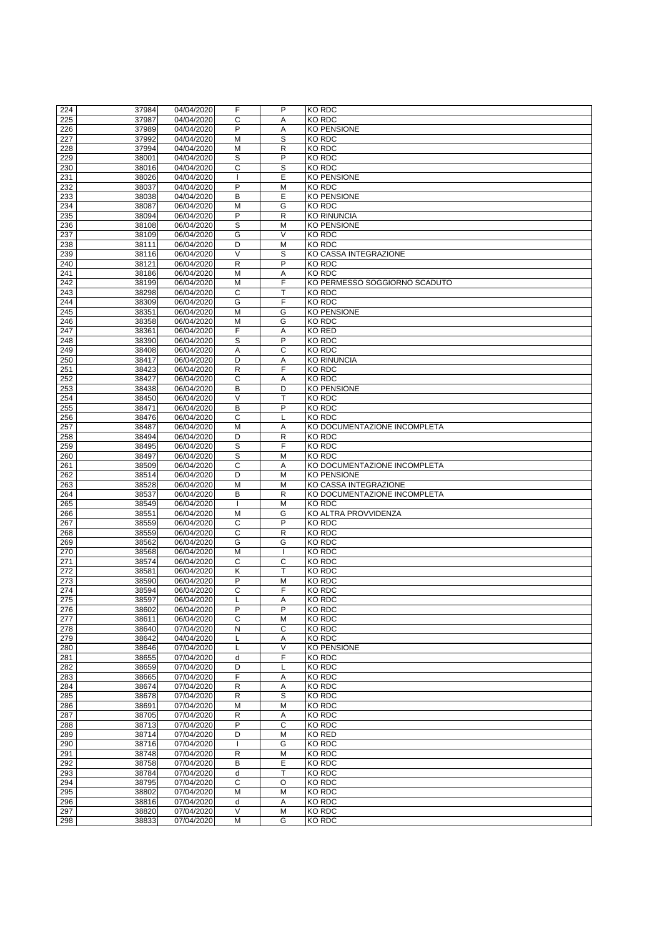|     | 37984 | 04/04/2020 | F                 | P            | <b>KO RDC</b>                 |
|-----|-------|------------|-------------------|--------------|-------------------------------|
| 224 |       |            |                   |              |                               |
| 225 | 37987 | 04/04/2020 | C                 | A            | <b>KO RDC</b>                 |
| 226 | 37989 | 04/04/2020 | P                 | Α            | <b>KO PENSIONE</b>            |
| 227 | 37992 | 04/04/2020 | M                 | S            | <b>KO RDC</b>                 |
| 228 | 37994 | 04/04/2020 | M                 | $\mathsf{R}$ | <b>KO RDC</b>                 |
| 229 | 38001 | 04/04/2020 | S                 | P            | <b>KO RDC</b>                 |
|     |       |            |                   |              |                               |
| 230 | 38016 | 04/04/2020 | $\mathsf{C}$      | S            | <b>KO RDC</b>                 |
| 231 | 38026 | 04/04/2020 |                   | E            | <b>KO PENSIONE</b>            |
| 232 | 38037 | 04/04/2020 | P                 | M            | <b>KO RDC</b>                 |
| 233 | 38038 | 04/04/2020 | $\mathsf B$       | E            | <b>KO PENSIONE</b>            |
|     |       |            |                   |              | <b>KO RDC</b>                 |
| 234 | 38087 | 06/04/2020 | M                 | G            |                               |
| 235 | 38094 | 06/04/2020 | $\overline{P}$    | $\mathsf{R}$ | <b>KO RINUNCIA</b>            |
| 236 | 38108 | 06/04/2020 | S                 | M            | <b>KO PENSIONE</b>            |
| 237 | 38109 | 06/04/2020 | G                 | V            | <b>KO RDC</b>                 |
| 238 | 38111 | 06/04/2020 | D                 | M            | <b>KO RDC</b>                 |
|     |       |            |                   |              |                               |
| 239 | 38116 | 06/04/2020 | $\vee$            | S            | KO CASSA INTEGRAZIONE         |
| 240 | 38121 | 06/04/2020 | $\mathsf{R}$      | P            | <b>KO RDC</b>                 |
| 241 | 38186 | 06/04/2020 | M                 | A            | <b>KO RDC</b>                 |
| 242 | 38199 | 06/04/2020 | M                 | F            | KO PERMESSO SOGGIORNO SCADUTO |
| 243 | 38298 | 06/04/2020 | C                 |              | <b>KO RDC</b>                 |
|     |       |            |                   | F            |                               |
| 244 | 38309 | 06/04/2020 | G                 |              | <b>KO RDC</b>                 |
| 245 | 38351 | 06/04/2020 | M                 | G            | <b>KO PENSIONE</b>            |
| 246 | 38358 | 06/04/2020 | M                 | G            | <b>KO RDC</b>                 |
| 247 | 38361 | 06/04/2020 | F                 | A            | <b>KO RED</b>                 |
| 248 | 38390 | 06/04/2020 | S                 | P            | <b>KO RDC</b>                 |
|     |       |            |                   |              |                               |
| 249 | 38408 | 06/04/2020 | A                 | $\mathsf{C}$ | <b>KO RDC</b>                 |
| 250 | 38417 | 06/04/2020 | D                 | A            | <b>KO RINUNCIA</b>            |
| 251 | 38423 | 06/04/2020 | $\mathsf{R}$      | F            | <b>KO RDC</b>                 |
| 252 | 38427 | 06/04/2020 | $\overline{C}$    | A            | <b>KO RDC</b>                 |
| 253 | 38438 | 06/04/2020 | B                 | D            | <b>KO PENSIONE</b>            |
|     |       |            |                   |              |                               |
| 254 | 38450 | 06/04/2020 | $\overline{\vee}$ |              | <b>KO RDC</b>                 |
| 255 | 38471 | 06/04/2020 | B                 | P            | <b>KO RDC</b>                 |
| 256 | 38476 | 06/04/2020 | C                 |              | <b>KO RDC</b>                 |
| 257 | 38487 | 06/04/2020 | M                 | A            | KO DOCUMENTAZIONE INCOMPLETA  |
|     |       |            |                   |              |                               |
| 258 | 38494 | 06/04/2020 | D                 | R            | <b>KO RDC</b>                 |
| 259 | 38495 | 06/04/2020 | S                 | F            | <b>KO RDC</b>                 |
| 260 | 38497 | 06/04/2020 | S                 | M            | <b>KO RDC</b>                 |
| 261 | 38509 | 06/04/2020 | $\mathsf{C}$      | A            | KO DOCUMENTAZIONE INCOMPLETA  |
|     |       |            |                   |              |                               |
| 262 | 38514 | 06/04/2020 | D                 | M            | <b>KO PENSIONE</b>            |
| 263 | 38528 | 06/04/2020 | $\overline{M}$    | M            | KO CASSA INTEGRAZIONE         |
|     |       |            |                   |              | KO DOCUMENTAZIONE INCOMPLETA  |
| 264 | 38537 | 06/04/2020 | B                 | $\mathsf{R}$ |                               |
|     |       |            |                   |              |                               |
| 265 | 38549 | 06/04/2020 |                   | M            | <b>KO RDC</b>                 |
| 266 | 38551 | 06/04/2020 | M                 | G            | <b>KO ALTRA PROVVIDENZA</b>   |
| 267 | 38559 | 06/04/2020 | $\mathsf C$       | P            | KO RDC                        |
| 268 | 38559 | 06/04/2020 | $\mathsf{C}$      | $\mathsf{R}$ | KO RDC                        |
|     |       |            | G                 | G            |                               |
| 269 | 38562 | 06/04/2020 |                   |              | <b>KO RDC</b>                 |
| 270 | 38568 | 06/04/2020 | M                 |              | <b>KO RDC</b>                 |
| 271 | 38574 | 06/04/2020 | $\mathsf C$       | C            | <b>KO RDC</b>                 |
| 272 | 38581 | 06/04/2020 | K                 |              | <b>KO RDC</b>                 |
| 273 | 38590 | 06/04/2020 | P                 | M            | <b>KO RDC</b>                 |
| 274 | 38594 | 06/04/2020 | C                 | F            | <b>KO RDC</b>                 |
|     |       |            |                   |              |                               |
| 275 | 38597 | 06/04/2020 |                   | A            | <b>KO RDC</b>                 |
| 276 | 38602 | 06/04/2020 | P                 | P            | KO RDC                        |
| 277 | 38611 | 06/04/2020 | $\mathsf{C}$      | M            | <b>KO RDC</b>                 |
| 278 | 38640 | 07/04/2020 | N                 | C            | <b>KO RDC</b>                 |
|     | 38642 | 04/04/2020 |                   | A            | <b>KO RDC</b>                 |
| 279 |       |            |                   |              |                               |
| 280 | 38646 | 07/04/2020 |                   | V            | <b>KO PENSIONE</b>            |
| 281 | 38655 | 07/04/2020 | d                 | F            | <b>KO RDC</b>                 |
| 282 | 38659 | 07/04/2020 | D                 |              | <b>KO RDC</b>                 |
| 283 | 38665 | 07/04/2020 | F                 | Α            | <b>KO RDC</b>                 |
|     | 38674 |            | $\mathsf{R}$      | A            | <b>KO RDC</b>                 |
| 284 |       | 07/04/2020 |                   |              |                               |
| 285 | 38678 | 07/04/2020 | $\mathsf{R}$      | S            | <b>KO RDC</b>                 |
| 286 | 38691 | 07/04/2020 | M                 | M            | <b>KO RDC</b>                 |
| 287 | 38705 | 07/04/2020 | $\mathsf{R}$      | A            | <b>KO RDC</b>                 |
| 288 | 38713 | 07/04/2020 | P                 | $\mathsf{C}$ | <b>KO RDC</b>                 |
|     |       |            |                   |              |                               |
| 289 | 38714 | 07/04/2020 | D                 | M            | <b>KO RED</b>                 |
| 290 | 38716 | 07/04/2020 |                   | G            | <b>KO RDC</b>                 |
| 291 | 38748 | 07/04/2020 | $\mathsf{R}$      | M            | <b>KO RDC</b>                 |
| 292 | 38758 | 07/04/2020 | B                 | E            | <b>KO RDC</b>                 |
| 293 | 38784 | 07/04/2020 | d                 | T            |                               |
|     |       |            |                   |              | <b>KO RDC</b>                 |
| 294 | 38795 | 07/04/2020 | $\mathsf C$       | O            | <b>KO RDC</b>                 |
| 295 | 38802 | 07/04/2020 | M                 | M            | <b>KO RDC</b>                 |
| 296 | 38816 | 07/04/2020 | d                 | Α            | <b>KO RDC</b>                 |
| 297 | 38820 | 07/04/2020 | $\vee$            | M            | <b>KO RDC</b>                 |
| 298 | 38833 | 07/04/2020 | M                 | G            | <b>KO RDC</b>                 |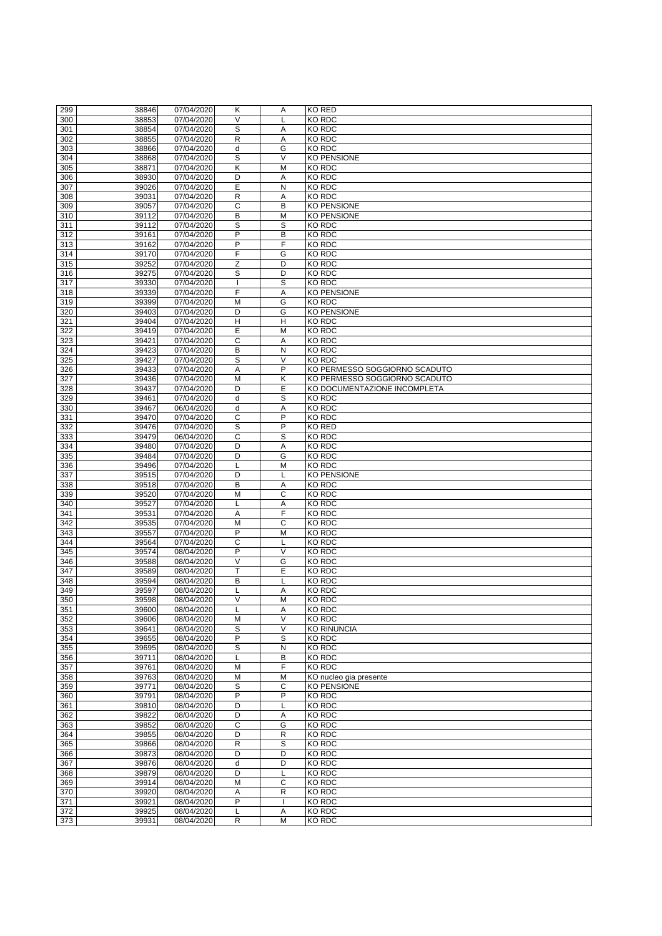| <b>KO RED</b><br>299<br>38846<br>07/04/2020<br>Κ<br>A<br>$\vee$<br><b>KO RDC</b><br>300<br>38853<br>07/04/2020<br>S<br>KO RDC<br>301<br>38854<br>07/04/2020<br>A<br>${\sf R}$<br>302<br>38855<br>07/04/2020<br><b>KO RDC</b><br>A<br>G<br>d<br><b>KO RDC</b><br>303<br>38866<br>07/04/2020<br>S<br>$\vee$<br>304<br><b>KO PENSIONE</b><br>38868<br>07/04/2020<br>Κ<br><b>KO RDC</b><br>305<br>38871<br>07/04/2020<br>M<br>306<br>38930<br>07/04/2020<br>D<br><b>KO RDC</b><br>A<br>E<br>307<br>N<br><b>KO RDC</b><br>39026<br>07/04/2020<br>$\mathsf{R}$<br><b>KO RDC</b><br>308<br>39031<br>07/04/2020<br>A<br>$\mathsf{C}$<br>B<br><b>KO PENSIONE</b><br>309<br>39057<br>07/04/2020<br>B<br>M<br>310<br>39112<br>07/04/2020<br><b>KO PENSIONE</b><br>S<br>S<br>07/04/2020<br><b>KO RDC</b><br>311<br>39112<br>P<br>B<br>312<br>39161<br>KO RDC<br>07/04/2020<br>F<br>P<br>313<br><b>KO RDC</b><br>39162<br>07/04/2020<br>F<br>314<br>39170<br>07/04/2020<br>G<br><b>KO RDC</b><br>Z<br>315<br>07/04/2020<br>D<br><b>KO RDC</b><br>39252<br>S<br>316<br>39275<br>D<br><b>KO RDC</b><br>07/04/2020<br>$\overline{s}$<br>317<br>39330<br>07/04/2020<br><b>KO RDC</b><br>F<br>39339<br>07/04/2020<br><b>KO PENSIONE</b><br>318<br>A<br>07/04/2020<br>M<br>G<br><b>KO RDC</b><br>319<br>39399<br>G<br>320<br>D<br><b>KO PENSIONE</b><br>39403<br>07/04/2020<br>H<br>$\mathsf{H}$<br>321<br><b>KO RDC</b><br>39404<br>07/04/2020<br>E<br>322<br>39419<br>07/04/2020<br>M<br><b>KO RDC</b><br>$\mathsf{C}$<br>323<br>39421<br>07/04/2020<br><b>KO RDC</b><br>A |  |
|-----------------------------------------------------------------------------------------------------------------------------------------------------------------------------------------------------------------------------------------------------------------------------------------------------------------------------------------------------------------------------------------------------------------------------------------------------------------------------------------------------------------------------------------------------------------------------------------------------------------------------------------------------------------------------------------------------------------------------------------------------------------------------------------------------------------------------------------------------------------------------------------------------------------------------------------------------------------------------------------------------------------------------------------------------------------------------------------------------------------------------------------------------------------------------------------------------------------------------------------------------------------------------------------------------------------------------------------------------------------------------------------------------------------------------------------------------------------------------------------------------------------------------------------------------------|--|
|                                                                                                                                                                                                                                                                                                                                                                                                                                                                                                                                                                                                                                                                                                                                                                                                                                                                                                                                                                                                                                                                                                                                                                                                                                                                                                                                                                                                                                                                                                                                                           |  |
|                                                                                                                                                                                                                                                                                                                                                                                                                                                                                                                                                                                                                                                                                                                                                                                                                                                                                                                                                                                                                                                                                                                                                                                                                                                                                                                                                                                                                                                                                                                                                           |  |
|                                                                                                                                                                                                                                                                                                                                                                                                                                                                                                                                                                                                                                                                                                                                                                                                                                                                                                                                                                                                                                                                                                                                                                                                                                                                                                                                                                                                                                                                                                                                                           |  |
|                                                                                                                                                                                                                                                                                                                                                                                                                                                                                                                                                                                                                                                                                                                                                                                                                                                                                                                                                                                                                                                                                                                                                                                                                                                                                                                                                                                                                                                                                                                                                           |  |
|                                                                                                                                                                                                                                                                                                                                                                                                                                                                                                                                                                                                                                                                                                                                                                                                                                                                                                                                                                                                                                                                                                                                                                                                                                                                                                                                                                                                                                                                                                                                                           |  |
|                                                                                                                                                                                                                                                                                                                                                                                                                                                                                                                                                                                                                                                                                                                                                                                                                                                                                                                                                                                                                                                                                                                                                                                                                                                                                                                                                                                                                                                                                                                                                           |  |
|                                                                                                                                                                                                                                                                                                                                                                                                                                                                                                                                                                                                                                                                                                                                                                                                                                                                                                                                                                                                                                                                                                                                                                                                                                                                                                                                                                                                                                                                                                                                                           |  |
|                                                                                                                                                                                                                                                                                                                                                                                                                                                                                                                                                                                                                                                                                                                                                                                                                                                                                                                                                                                                                                                                                                                                                                                                                                                                                                                                                                                                                                                                                                                                                           |  |
|                                                                                                                                                                                                                                                                                                                                                                                                                                                                                                                                                                                                                                                                                                                                                                                                                                                                                                                                                                                                                                                                                                                                                                                                                                                                                                                                                                                                                                                                                                                                                           |  |
|                                                                                                                                                                                                                                                                                                                                                                                                                                                                                                                                                                                                                                                                                                                                                                                                                                                                                                                                                                                                                                                                                                                                                                                                                                                                                                                                                                                                                                                                                                                                                           |  |
|                                                                                                                                                                                                                                                                                                                                                                                                                                                                                                                                                                                                                                                                                                                                                                                                                                                                                                                                                                                                                                                                                                                                                                                                                                                                                                                                                                                                                                                                                                                                                           |  |
|                                                                                                                                                                                                                                                                                                                                                                                                                                                                                                                                                                                                                                                                                                                                                                                                                                                                                                                                                                                                                                                                                                                                                                                                                                                                                                                                                                                                                                                                                                                                                           |  |
|                                                                                                                                                                                                                                                                                                                                                                                                                                                                                                                                                                                                                                                                                                                                                                                                                                                                                                                                                                                                                                                                                                                                                                                                                                                                                                                                                                                                                                                                                                                                                           |  |
|                                                                                                                                                                                                                                                                                                                                                                                                                                                                                                                                                                                                                                                                                                                                                                                                                                                                                                                                                                                                                                                                                                                                                                                                                                                                                                                                                                                                                                                                                                                                                           |  |
|                                                                                                                                                                                                                                                                                                                                                                                                                                                                                                                                                                                                                                                                                                                                                                                                                                                                                                                                                                                                                                                                                                                                                                                                                                                                                                                                                                                                                                                                                                                                                           |  |
|                                                                                                                                                                                                                                                                                                                                                                                                                                                                                                                                                                                                                                                                                                                                                                                                                                                                                                                                                                                                                                                                                                                                                                                                                                                                                                                                                                                                                                                                                                                                                           |  |
|                                                                                                                                                                                                                                                                                                                                                                                                                                                                                                                                                                                                                                                                                                                                                                                                                                                                                                                                                                                                                                                                                                                                                                                                                                                                                                                                                                                                                                                                                                                                                           |  |
|                                                                                                                                                                                                                                                                                                                                                                                                                                                                                                                                                                                                                                                                                                                                                                                                                                                                                                                                                                                                                                                                                                                                                                                                                                                                                                                                                                                                                                                                                                                                                           |  |
|                                                                                                                                                                                                                                                                                                                                                                                                                                                                                                                                                                                                                                                                                                                                                                                                                                                                                                                                                                                                                                                                                                                                                                                                                                                                                                                                                                                                                                                                                                                                                           |  |
|                                                                                                                                                                                                                                                                                                                                                                                                                                                                                                                                                                                                                                                                                                                                                                                                                                                                                                                                                                                                                                                                                                                                                                                                                                                                                                                                                                                                                                                                                                                                                           |  |
|                                                                                                                                                                                                                                                                                                                                                                                                                                                                                                                                                                                                                                                                                                                                                                                                                                                                                                                                                                                                                                                                                                                                                                                                                                                                                                                                                                                                                                                                                                                                                           |  |
|                                                                                                                                                                                                                                                                                                                                                                                                                                                                                                                                                                                                                                                                                                                                                                                                                                                                                                                                                                                                                                                                                                                                                                                                                                                                                                                                                                                                                                                                                                                                                           |  |
|                                                                                                                                                                                                                                                                                                                                                                                                                                                                                                                                                                                                                                                                                                                                                                                                                                                                                                                                                                                                                                                                                                                                                                                                                                                                                                                                                                                                                                                                                                                                                           |  |
|                                                                                                                                                                                                                                                                                                                                                                                                                                                                                                                                                                                                                                                                                                                                                                                                                                                                                                                                                                                                                                                                                                                                                                                                                                                                                                                                                                                                                                                                                                                                                           |  |
|                                                                                                                                                                                                                                                                                                                                                                                                                                                                                                                                                                                                                                                                                                                                                                                                                                                                                                                                                                                                                                                                                                                                                                                                                                                                                                                                                                                                                                                                                                                                                           |  |
|                                                                                                                                                                                                                                                                                                                                                                                                                                                                                                                                                                                                                                                                                                                                                                                                                                                                                                                                                                                                                                                                                                                                                                                                                                                                                                                                                                                                                                                                                                                                                           |  |
|                                                                                                                                                                                                                                                                                                                                                                                                                                                                                                                                                                                                                                                                                                                                                                                                                                                                                                                                                                                                                                                                                                                                                                                                                                                                                                                                                                                                                                                                                                                                                           |  |
|                                                                                                                                                                                                                                                                                                                                                                                                                                                                                                                                                                                                                                                                                                                                                                                                                                                                                                                                                                                                                                                                                                                                                                                                                                                                                                                                                                                                                                                                                                                                                           |  |
|                                                                                                                                                                                                                                                                                                                                                                                                                                                                                                                                                                                                                                                                                                                                                                                                                                                                                                                                                                                                                                                                                                                                                                                                                                                                                                                                                                                                                                                                                                                                                           |  |
| B<br>$\mathsf{N}$<br>324<br>39423<br><b>KO RDC</b><br>07/04/2020                                                                                                                                                                                                                                                                                                                                                                                                                                                                                                                                                                                                                                                                                                                                                                                                                                                                                                                                                                                                                                                                                                                                                                                                                                                                                                                                                                                                                                                                                          |  |
| S<br>$\vee$<br>39427<br><b>KO RDC</b><br>325<br>07/04/2020                                                                                                                                                                                                                                                                                                                                                                                                                                                                                                                                                                                                                                                                                                                                                                                                                                                                                                                                                                                                                                                                                                                                                                                                                                                                                                                                                                                                                                                                                                |  |
| P<br>KO PERMESSO SOGGIORNO SCADUTO<br>326<br>39433<br>07/04/2020<br>A                                                                                                                                                                                                                                                                                                                                                                                                                                                                                                                                                                                                                                                                                                                                                                                                                                                                                                                                                                                                                                                                                                                                                                                                                                                                                                                                                                                                                                                                                     |  |
|                                                                                                                                                                                                                                                                                                                                                                                                                                                                                                                                                                                                                                                                                                                                                                                                                                                                                                                                                                                                                                                                                                                                                                                                                                                                                                                                                                                                                                                                                                                                                           |  |
| 39436<br>$\overline{M}$<br>K<br>KO PERMESSO SOGGIORNO SCADUTO<br>327<br>07/04/2020                                                                                                                                                                                                                                                                                                                                                                                                                                                                                                                                                                                                                                                                                                                                                                                                                                                                                                                                                                                                                                                                                                                                                                                                                                                                                                                                                                                                                                                                        |  |
| E<br>07/04/2020<br>D<br>KO DOCUMENTAZIONE INCOMPLETA<br>328<br>39437                                                                                                                                                                                                                                                                                                                                                                                                                                                                                                                                                                                                                                                                                                                                                                                                                                                                                                                                                                                                                                                                                                                                                                                                                                                                                                                                                                                                                                                                                      |  |
| $\overline{s}$<br>329<br>39461<br>d<br><b>KO RDC</b><br>07/04/2020                                                                                                                                                                                                                                                                                                                                                                                                                                                                                                                                                                                                                                                                                                                                                                                                                                                                                                                                                                                                                                                                                                                                                                                                                                                                                                                                                                                                                                                                                        |  |
| <b>KO RDC</b><br>330<br>39467<br>06/04/2020<br>d<br>Α                                                                                                                                                                                                                                                                                                                                                                                                                                                                                                                                                                                                                                                                                                                                                                                                                                                                                                                                                                                                                                                                                                                                                                                                                                                                                                                                                                                                                                                                                                     |  |
| 331<br>39470<br>07/04/2020<br>C<br>P<br><b>KO RDC</b>                                                                                                                                                                                                                                                                                                                                                                                                                                                                                                                                                                                                                                                                                                                                                                                                                                                                                                                                                                                                                                                                                                                                                                                                                                                                                                                                                                                                                                                                                                     |  |
|                                                                                                                                                                                                                                                                                                                                                                                                                                                                                                                                                                                                                                                                                                                                                                                                                                                                                                                                                                                                                                                                                                                                                                                                                                                                                                                                                                                                                                                                                                                                                           |  |
| S<br>P<br><b>KO RED</b><br>332<br>39476<br>07/04/2020                                                                                                                                                                                                                                                                                                                                                                                                                                                                                                                                                                                                                                                                                                                                                                                                                                                                                                                                                                                                                                                                                                                                                                                                                                                                                                                                                                                                                                                                                                     |  |
| $\mathsf{C}$<br>S<br>333<br><b>KO RDC</b><br>39479<br>06/04/2020                                                                                                                                                                                                                                                                                                                                                                                                                                                                                                                                                                                                                                                                                                                                                                                                                                                                                                                                                                                                                                                                                                                                                                                                                                                                                                                                                                                                                                                                                          |  |
| 39480<br>07/04/2020<br><b>KO RDC</b><br>334<br>D<br>Α                                                                                                                                                                                                                                                                                                                                                                                                                                                                                                                                                                                                                                                                                                                                                                                                                                                                                                                                                                                                                                                                                                                                                                                                                                                                                                                                                                                                                                                                                                     |  |
| 335<br>39484<br>07/04/2020<br>D<br>G<br><b>KO RDC</b>                                                                                                                                                                                                                                                                                                                                                                                                                                                                                                                                                                                                                                                                                                                                                                                                                                                                                                                                                                                                                                                                                                                                                                                                                                                                                                                                                                                                                                                                                                     |  |
| <b>KO RDC</b><br>336<br>39496<br>07/04/2020<br>M                                                                                                                                                                                                                                                                                                                                                                                                                                                                                                                                                                                                                                                                                                                                                                                                                                                                                                                                                                                                                                                                                                                                                                                                                                                                                                                                                                                                                                                                                                          |  |
|                                                                                                                                                                                                                                                                                                                                                                                                                                                                                                                                                                                                                                                                                                                                                                                                                                                                                                                                                                                                                                                                                                                                                                                                                                                                                                                                                                                                                                                                                                                                                           |  |
| <b>KO PENSIONE</b><br>337<br>39515<br>07/04/2020<br>D                                                                                                                                                                                                                                                                                                                                                                                                                                                                                                                                                                                                                                                                                                                                                                                                                                                                                                                                                                                                                                                                                                                                                                                                                                                                                                                                                                                                                                                                                                     |  |
| 338<br>39518<br>B<br><b>KO RDC</b><br>07/04/2020<br>Α                                                                                                                                                                                                                                                                                                                                                                                                                                                                                                                                                                                                                                                                                                                                                                                                                                                                                                                                                                                                                                                                                                                                                                                                                                                                                                                                                                                                                                                                                                     |  |
| KO RDC<br>39520<br>M<br>C<br>339<br>07/04/2020                                                                                                                                                                                                                                                                                                                                                                                                                                                                                                                                                                                                                                                                                                                                                                                                                                                                                                                                                                                                                                                                                                                                                                                                                                                                                                                                                                                                                                                                                                            |  |
| 340<br><b>KO RDC</b><br>39527<br>07/04/2020<br>A                                                                                                                                                                                                                                                                                                                                                                                                                                                                                                                                                                                                                                                                                                                                                                                                                                                                                                                                                                                                                                                                                                                                                                                                                                                                                                                                                                                                                                                                                                          |  |
| F<br><b>KO RDC</b><br>07/04/2020<br>341<br>39531<br>A                                                                                                                                                                                                                                                                                                                                                                                                                                                                                                                                                                                                                                                                                                                                                                                                                                                                                                                                                                                                                                                                                                                                                                                                                                                                                                                                                                                                                                                                                                     |  |
| $\mathsf{C}$<br>342<br>M<br><b>KO RDC</b><br>39535<br>07/04/2020                                                                                                                                                                                                                                                                                                                                                                                                                                                                                                                                                                                                                                                                                                                                                                                                                                                                                                                                                                                                                                                                                                                                                                                                                                                                                                                                                                                                                                                                                          |  |
|                                                                                                                                                                                                                                                                                                                                                                                                                                                                                                                                                                                                                                                                                                                                                                                                                                                                                                                                                                                                                                                                                                                                                                                                                                                                                                                                                                                                                                                                                                                                                           |  |
| P<br>KO RDC<br>343<br>39557<br>07/04/2020<br>M                                                                                                                                                                                                                                                                                                                                                                                                                                                                                                                                                                                                                                                                                                                                                                                                                                                                                                                                                                                                                                                                                                                                                                                                                                                                                                                                                                                                                                                                                                            |  |
| $\mathsf C$<br>344<br>39564<br>07/04/2020<br><b>KO RDC</b>                                                                                                                                                                                                                                                                                                                                                                                                                                                                                                                                                                                                                                                                                                                                                                                                                                                                                                                                                                                                                                                                                                                                                                                                                                                                                                                                                                                                                                                                                                |  |
| P<br>$\vee$<br>345<br>39574<br><b>KO RDC</b><br>08/04/2020                                                                                                                                                                                                                                                                                                                                                                                                                                                                                                                                                                                                                                                                                                                                                                                                                                                                                                                                                                                                                                                                                                                                                                                                                                                                                                                                                                                                                                                                                                |  |
|                                                                                                                                                                                                                                                                                                                                                                                                                                                                                                                                                                                                                                                                                                                                                                                                                                                                                                                                                                                                                                                                                                                                                                                                                                                                                                                                                                                                                                                                                                                                                           |  |
|                                                                                                                                                                                                                                                                                                                                                                                                                                                                                                                                                                                                                                                                                                                                                                                                                                                                                                                                                                                                                                                                                                                                                                                                                                                                                                                                                                                                                                                                                                                                                           |  |
| $\vee$<br>G<br>346<br>39588<br><b>KO RDC</b><br>08/04/2020                                                                                                                                                                                                                                                                                                                                                                                                                                                                                                                                                                                                                                                                                                                                                                                                                                                                                                                                                                                                                                                                                                                                                                                                                                                                                                                                                                                                                                                                                                |  |
| T<br>E<br><b>KO RDC</b><br>347<br>39589<br>08/04/2020                                                                                                                                                                                                                                                                                                                                                                                                                                                                                                                                                                                                                                                                                                                                                                                                                                                                                                                                                                                                                                                                                                                                                                                                                                                                                                                                                                                                                                                                                                     |  |
| B<br>348<br>39594<br>08/04/2020<br><b>KO RDC</b>                                                                                                                                                                                                                                                                                                                                                                                                                                                                                                                                                                                                                                                                                                                                                                                                                                                                                                                                                                                                                                                                                                                                                                                                                                                                                                                                                                                                                                                                                                          |  |
| 349<br>08/04/2020<br><b>KO RDC</b><br>39597<br>A                                                                                                                                                                                                                                                                                                                                                                                                                                                                                                                                                                                                                                                                                                                                                                                                                                                                                                                                                                                                                                                                                                                                                                                                                                                                                                                                                                                                                                                                                                          |  |
| $\vee$<br><b>KO RDC</b><br>350<br>39598<br>M<br>08/04/2020                                                                                                                                                                                                                                                                                                                                                                                                                                                                                                                                                                                                                                                                                                                                                                                                                                                                                                                                                                                                                                                                                                                                                                                                                                                                                                                                                                                                                                                                                                |  |
| <b>KO RDC</b><br>351<br>39600<br>08/04/2020<br>L<br>A                                                                                                                                                                                                                                                                                                                                                                                                                                                                                                                                                                                                                                                                                                                                                                                                                                                                                                                                                                                                                                                                                                                                                                                                                                                                                                                                                                                                                                                                                                     |  |
|                                                                                                                                                                                                                                                                                                                                                                                                                                                                                                                                                                                                                                                                                                                                                                                                                                                                                                                                                                                                                                                                                                                                                                                                                                                                                                                                                                                                                                                                                                                                                           |  |
| $\vee$<br><b>KO RDC</b><br>352<br>39606<br>08/04/2020<br>M                                                                                                                                                                                                                                                                                                                                                                                                                                                                                                                                                                                                                                                                                                                                                                                                                                                                                                                                                                                                                                                                                                                                                                                                                                                                                                                                                                                                                                                                                                |  |
| S<br>$\vee$<br><b>KO RINUNCIA</b><br>353<br>39641<br>08/04/2020                                                                                                                                                                                                                                                                                                                                                                                                                                                                                                                                                                                                                                                                                                                                                                                                                                                                                                                                                                                                                                                                                                                                                                                                                                                                                                                                                                                                                                                                                           |  |
| P<br>354<br>39655<br>08/04/2020<br>S<br><b>KO RDC</b>                                                                                                                                                                                                                                                                                                                                                                                                                                                                                                                                                                                                                                                                                                                                                                                                                                                                                                                                                                                                                                                                                                                                                                                                                                                                                                                                                                                                                                                                                                     |  |
| 355<br>S<br>39695<br>N<br>KO RDC<br>08/04/2020                                                                                                                                                                                                                                                                                                                                                                                                                                                                                                                                                                                                                                                                                                                                                                                                                                                                                                                                                                                                                                                                                                                                                                                                                                                                                                                                                                                                                                                                                                            |  |
| 39711<br><b>KO RDC</b><br>356<br>08/04/2020<br>B                                                                                                                                                                                                                                                                                                                                                                                                                                                                                                                                                                                                                                                                                                                                                                                                                                                                                                                                                                                                                                                                                                                                                                                                                                                                                                                                                                                                                                                                                                          |  |
| F<br>M                                                                                                                                                                                                                                                                                                                                                                                                                                                                                                                                                                                                                                                                                                                                                                                                                                                                                                                                                                                                                                                                                                                                                                                                                                                                                                                                                                                                                                                                                                                                                    |  |
| <b>KO RDC</b><br>357<br>39761<br>08/04/2020                                                                                                                                                                                                                                                                                                                                                                                                                                                                                                                                                                                                                                                                                                                                                                                                                                                                                                                                                                                                                                                                                                                                                                                                                                                                                                                                                                                                                                                                                                               |  |
| 358<br>39763<br>08/04/2020<br>M<br>M<br>KO nucleo gia presente                                                                                                                                                                                                                                                                                                                                                                                                                                                                                                                                                                                                                                                                                                                                                                                                                                                                                                                                                                                                                                                                                                                                                                                                                                                                                                                                                                                                                                                                                            |  |
| $\mathsf{C}$<br>359<br>S<br><b>KO PENSIONE</b><br>39771<br>08/04/2020                                                                                                                                                                                                                                                                                                                                                                                                                                                                                                                                                                                                                                                                                                                                                                                                                                                                                                                                                                                                                                                                                                                                                                                                                                                                                                                                                                                                                                                                                     |  |
| P<br>P<br>KO RDC<br>08/04/2020<br>360<br>39791                                                                                                                                                                                                                                                                                                                                                                                                                                                                                                                                                                                                                                                                                                                                                                                                                                                                                                                                                                                                                                                                                                                                                                                                                                                                                                                                                                                                                                                                                                            |  |
| 361<br>08/04/2020<br>D<br>KO RDC<br>39810                                                                                                                                                                                                                                                                                                                                                                                                                                                                                                                                                                                                                                                                                                                                                                                                                                                                                                                                                                                                                                                                                                                                                                                                                                                                                                                                                                                                                                                                                                                 |  |
| 362<br>D<br><b>KO RDC</b><br>39822<br>08/04/2020                                                                                                                                                                                                                                                                                                                                                                                                                                                                                                                                                                                                                                                                                                                                                                                                                                                                                                                                                                                                                                                                                                                                                                                                                                                                                                                                                                                                                                                                                                          |  |
| A                                                                                                                                                                                                                                                                                                                                                                                                                                                                                                                                                                                                                                                                                                                                                                                                                                                                                                                                                                                                                                                                                                                                                                                                                                                                                                                                                                                                                                                                                                                                                         |  |
| 363<br>$\mathsf C$<br>G<br><b>KO RDC</b><br>39852<br>08/04/2020                                                                                                                                                                                                                                                                                                                                                                                                                                                                                                                                                                                                                                                                                                                                                                                                                                                                                                                                                                                                                                                                                                                                                                                                                                                                                                                                                                                                                                                                                           |  |
| 364<br>D<br>$\mathsf{R}$<br><b>KO RDC</b><br>39855<br>08/04/2020                                                                                                                                                                                                                                                                                                                                                                                                                                                                                                                                                                                                                                                                                                                                                                                                                                                                                                                                                                                                                                                                                                                                                                                                                                                                                                                                                                                                                                                                                          |  |
| $\overline{s}$<br>$\mathsf{R}$<br>365<br>39866<br><b>KO RDC</b><br>08/04/2020                                                                                                                                                                                                                                                                                                                                                                                                                                                                                                                                                                                                                                                                                                                                                                                                                                                                                                                                                                                                                                                                                                                                                                                                                                                                                                                                                                                                                                                                             |  |
| D<br>D<br><b>KO RDC</b><br>366<br>39873<br>08/04/2020                                                                                                                                                                                                                                                                                                                                                                                                                                                                                                                                                                                                                                                                                                                                                                                                                                                                                                                                                                                                                                                                                                                                                                                                                                                                                                                                                                                                                                                                                                     |  |
| D<br><b>KO RDC</b><br>367<br>39876<br>08/04/2020<br>d                                                                                                                                                                                                                                                                                                                                                                                                                                                                                                                                                                                                                                                                                                                                                                                                                                                                                                                                                                                                                                                                                                                                                                                                                                                                                                                                                                                                                                                                                                     |  |
|                                                                                                                                                                                                                                                                                                                                                                                                                                                                                                                                                                                                                                                                                                                                                                                                                                                                                                                                                                                                                                                                                                                                                                                                                                                                                                                                                                                                                                                                                                                                                           |  |
| <b>KO RDC</b><br>368<br>39879<br>08/04/2020<br>D                                                                                                                                                                                                                                                                                                                                                                                                                                                                                                                                                                                                                                                                                                                                                                                                                                                                                                                                                                                                                                                                                                                                                                                                                                                                                                                                                                                                                                                                                                          |  |
| 369<br>$\overline{M}$<br><b>KO RDC</b><br>08/04/2020<br>$\mathsf C$<br>39914                                                                                                                                                                                                                                                                                                                                                                                                                                                                                                                                                                                                                                                                                                                                                                                                                                                                                                                                                                                                                                                                                                                                                                                                                                                                                                                                                                                                                                                                              |  |
| $\mathsf{R}$<br>370<br>39920<br>Α<br>08/04/2020<br><b>KO RDC</b>                                                                                                                                                                                                                                                                                                                                                                                                                                                                                                                                                                                                                                                                                                                                                                                                                                                                                                                                                                                                                                                                                                                                                                                                                                                                                                                                                                                                                                                                                          |  |
| $\mathsf{P}$<br>371<br>39921<br>08/04/2020<br><b>KO RDC</b>                                                                                                                                                                                                                                                                                                                                                                                                                                                                                                                                                                                                                                                                                                                                                                                                                                                                                                                                                                                                                                                                                                                                                                                                                                                                                                                                                                                                                                                                                               |  |
| 372<br>39925<br><b>KO RDC</b><br>08/04/2020<br>Α<br>L                                                                                                                                                                                                                                                                                                                                                                                                                                                                                                                                                                                                                                                                                                                                                                                                                                                                                                                                                                                                                                                                                                                                                                                                                                                                                                                                                                                                                                                                                                     |  |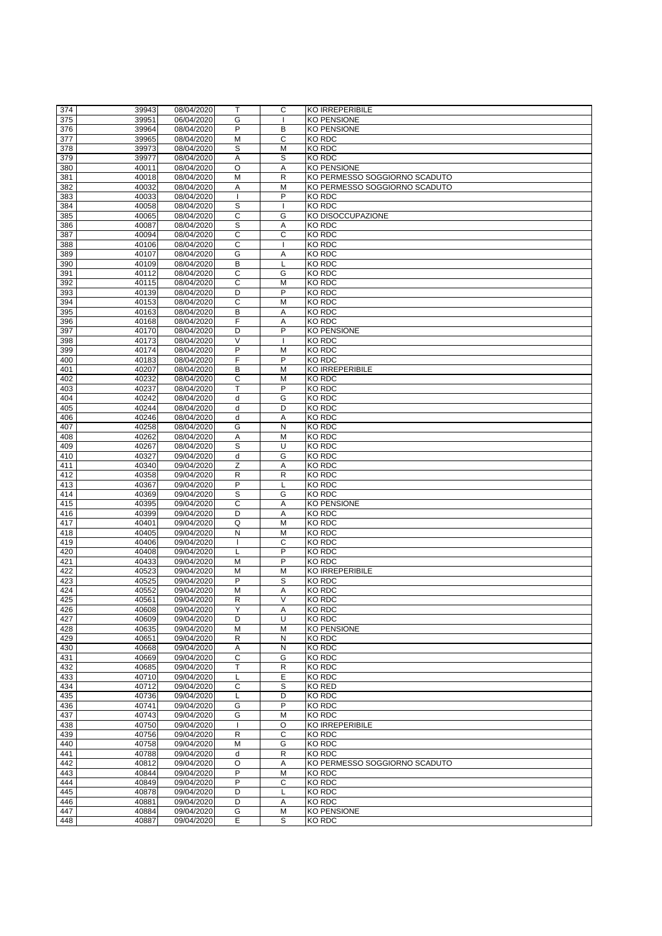| 374 | 39943 | 08/04/2020 | т                       | $\mathsf{C}$   | KO IRREPERIBILE               |
|-----|-------|------------|-------------------------|----------------|-------------------------------|
|     |       |            |                         |                |                               |
| 375 | 39951 | 06/04/2020 | G                       |                | <b>KO PENSIONE</b>            |
| 376 | 39964 | 08/04/2020 | P                       | B              | <b>KO PENSIONE</b>            |
| 377 | 39965 | 08/04/2020 | M                       | $\mathsf{C}$   | KO RDC                        |
|     |       |            |                         |                |                               |
| 378 | 39973 | 08/04/2020 | S                       | M              | <b>KO RDC</b>                 |
| 379 | 39977 | 08/04/2020 | A                       | S              | KO RDC                        |
|     | 40011 | 08/04/2020 | $\circ$                 |                | <b>KO PENSIONE</b>            |
| 380 |       |            |                         | Α              |                               |
| 381 | 40018 | 08/04/2020 | M                       | $\mathsf{R}$   | KO PERMESSO SOGGIORNO SCADUTO |
| 382 | 40032 | 08/04/2020 | Α                       | M              | KO PERMESSO SOGGIORNO SCADUTO |
|     |       |            |                         | P              |                               |
| 383 | 40033 | 08/04/2020 |                         |                | <b>KO RDC</b>                 |
| 384 | 40058 | 08/04/2020 | S                       |                | <b>KO RDC</b>                 |
| 385 | 40065 | 08/04/2020 | C                       | G              | <b>KO DISOCCUPAZIONE</b>      |
|     |       |            |                         |                |                               |
| 386 | 40087 | 08/04/2020 | S                       | Α              | <b>KO RDC</b>                 |
| 387 | 40094 | 08/04/2020 | $\overline{C}$          | $\mathsf{C}$   | <b>KO RDC</b>                 |
| 388 | 40106 | 08/04/2020 | C                       |                | KO RDC                        |
|     |       |            |                         |                |                               |
| 389 | 40107 | 08/04/2020 | G                       | A              | <b>KO RDC</b>                 |
| 390 | 40109 | 08/04/2020 | B                       |                | <b>KO RDC</b>                 |
| 391 | 40112 | 08/04/2020 | C                       | G              | <b>KO RDC</b>                 |
|     |       |            |                         |                |                               |
| 392 | 40115 | 08/04/2020 | $\mathsf C$             | M              | <b>KO RDC</b>                 |
| 393 | 40139 | 08/04/2020 | D                       | P              | <b>KO RDC</b>                 |
| 394 | 40153 | 08/04/2020 | C                       | M              | <b>KO RDC</b>                 |
|     |       |            |                         |                |                               |
| 395 | 40163 | 08/04/2020 | B                       | Α              | <b>KO RDC</b>                 |
| 396 | 40168 | 08/04/2020 | F                       | A              | KO RDC                        |
| 397 | 40170 | 08/04/2020 | D                       | P              | <b>KO PENSIONE</b>            |
|     |       |            |                         |                |                               |
| 398 | 40173 | 08/04/2020 | $\vee$                  |                | <b>KO RDC</b>                 |
| 399 | 40174 | 08/04/2020 | P                       | M              | <b>KO RDC</b>                 |
| 400 | 40183 | 08/04/2020 | F                       | P              | <b>KO RDC</b>                 |
|     |       |            |                         |                |                               |
| 401 | 40207 | 08/04/2020 | B                       | M              | <b>KO IRREPERIBILE</b>        |
| 402 | 40232 | 08/04/2020 | C                       | M              | <b>KO RDC</b>                 |
| 403 | 40237 | 08/04/2020 | $\overline{\mathsf{T}}$ | P              | <b>KO RDC</b>                 |
|     |       |            |                         |                |                               |
| 404 | 40242 | 08/04/2020 | d                       | G              | KO RDC                        |
| 405 | 40244 | 08/04/2020 | d                       | D              | KO RDC                        |
| 406 |       |            |                         |                | <b>KO RDC</b>                 |
|     | 40246 | 08/04/2020 | d                       | A              |                               |
| 407 | 40258 | 08/04/2020 | G                       | N              | <b>KO RDC</b>                 |
| 408 | 40262 | 08/04/2020 | A                       | M              | <b>KO RDC</b>                 |
|     |       |            |                         |                |                               |
| 409 | 40267 | 08/04/2020 | S                       | U              | KO RDC                        |
| 410 | 40327 | 09/04/2020 | d                       | G              | <b>KO RDC</b>                 |
| 411 | 40340 | 09/04/2020 | Z                       | A              | KO RDC                        |
|     |       |            |                         |                |                               |
| 412 | 40358 | 09/04/2020 | $\mathsf R$             | $\mathsf{R}$   | <b>KO RDC</b>                 |
| 413 | 40367 | 09/04/2020 | $\mathsf{P}$            |                | KO RDC                        |
| 414 | 40369 | 09/04/2020 | S                       | G              | KO RDC                        |
|     |       |            |                         |                |                               |
| 415 | 40395 | 09/04/2020 | C                       | Α              | <b>KO PENSIONE</b>            |
| 416 | 40399 | 09/04/2020 | D                       | Α              | <b>KO RDC</b>                 |
| 417 | 40401 | 09/04/2020 | Q                       | M              | <b>KO RDC</b>                 |
|     |       |            |                         |                |                               |
| 418 | 40405 | 09/04/2020 | N                       | M              | <b>KO RDC</b>                 |
| 419 | 40406 | 09/04/2020 |                         | $\mathsf{C}$   | KO RDC                        |
| 420 | 40408 |            |                         | P              | <b>KO RDC</b>                 |
|     |       | 09/04/2020 |                         |                |                               |
| 421 | 40433 | 09/04/2020 | M                       | P              | KO RDC                        |
| 422 | 40523 | 09/04/2020 | M                       | M              | <b>KO IRREPERIBILE</b>        |
| 423 | 40525 |            | P                       | S              | <b>KO RDC</b>                 |
|     |       | 09/04/2020 |                         |                |                               |
| 424 | 40552 | 09/04/2020 | M                       | Α              | <b>KO RDC</b>                 |
| 425 | 40561 | 09/04/2020 | $\mathsf R$             | $\vee$         | <b>KO RDC</b>                 |
|     |       |            | Y                       |                |                               |
| 426 | 40608 | 09/04/2020 |                         | A              | <b>KO RDC</b>                 |
| 427 | 40609 | 09/04/2020 | D                       | U              | <b>KO RDC</b>                 |
| 428 | 40635 | 09/04/2020 | M                       | M              | <b>KO PENSIONE</b>            |
|     |       |            |                         |                |                               |
| 429 | 40651 | 09/04/2020 | $\mathsf R$             | $\mathsf{N}$   | <b>KO RDC</b>                 |
| 430 | 40668 | 09/04/2020 | Α                       | ${\sf N}$      | KO RDC                        |
| 431 | 40669 | 09/04/2020 | C                       | G              | KO RDC                        |
|     |       |            | T                       |                |                               |
| 432 | 40685 | 09/04/2020 |                         | $\mathsf{R}$   | <b>KO RDC</b>                 |
| 433 | 40710 | 09/04/2020 |                         | E              | <b>KO RDC</b>                 |
| 434 | 40712 | 09/04/2020 | C                       | S              | <b>KO RED</b>                 |
|     |       |            |                         |                |                               |
| 435 | 40736 | 09/04/2020 |                         | D              | <b>KO RDC</b>                 |
| 436 | 40741 | 09/04/2020 | G                       | P              | <b>KO RDC</b>                 |
| 437 | 40743 | 09/04/2020 | G                       | M              | <b>KO RDC</b>                 |
|     |       |            |                         |                |                               |
| 438 | 40750 | 09/04/2020 |                         | $\circ$        | <b>KO IRREPERIBILE</b>        |
| 439 | 40756 | 09/04/2020 | $\mathsf{R}$            | $\mathsf{C}$   | <b>KO RDC</b>                 |
| 440 | 40758 | 09/04/2020 | M                       | G              | <b>KO RDC</b>                 |
|     |       |            |                         |                |                               |
| 441 | 40788 | 09/04/2020 | d                       | $\mathsf{R}$   | <b>KO RDC</b>                 |
| 442 | 40812 | 09/04/2020 | $\circ$                 | A              | KO PERMESSO SOGGIORNO SCADUTO |
| 443 |       | 09/04/2020 | P                       | M              | <b>KO RDC</b>                 |
|     | 40844 |            |                         |                |                               |
| 444 | 40849 | 09/04/2020 | $\mathsf{P}$            | $\mathsf C$    | <b>KO RDC</b>                 |
| 445 | 40878 | 09/04/2020 | D                       |                | <b>KO RDC</b>                 |
|     |       |            |                         |                |                               |
| 446 | 40881 | 09/04/2020 | $\mathsf D$             | A              | <b>KO RDC</b>                 |
| 447 | 40884 | 09/04/2020 | G                       | M              | <b>KO PENSIONE</b>            |
| 448 | 40887 | 09/04/2020 | $\overline{E}$          | $\overline{s}$ | KO RDC                        |
|     |       |            |                         |                |                               |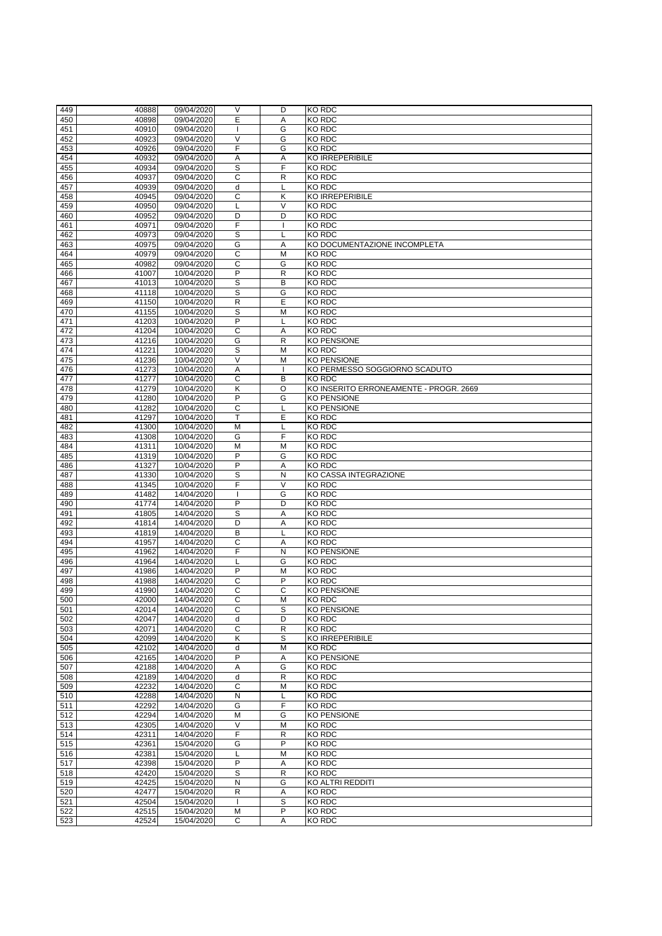| 449              | 40888          | 09/04/2020 | V                       | D                       | <b>KO RDC</b>                          |
|------------------|----------------|------------|-------------------------|-------------------------|----------------------------------------|
|                  |                |            |                         |                         |                                        |
| 450              | 40898          | 09/04/2020 | E                       | A                       | <b>KO RDC</b>                          |
| 451              | 40910          | 09/04/2020 |                         | G                       | <b>KO RDC</b>                          |
| 452              | 40923          | 09/04/2020 | $\vee$                  | G                       | <b>KO RDC</b>                          |
| 453              | 40926          | 09/04/2020 | F                       | G                       | <b>KO RDC</b>                          |
| 454              | 40932          | 09/04/2020 | Α                       | Α                       | <b>KO IRREPERIBILE</b>                 |
| 455              | 40934          | 09/04/2020 | S                       | F                       | <b>KO RDC</b>                          |
| 456              | 40937          | 09/04/2020 | $\mathsf{C}$            | $\mathsf{R}$            | <b>KO RDC</b>                          |
| 457              |                |            |                         |                         | <b>KO RDC</b>                          |
|                  | 40939          | 09/04/2020 | d                       |                         |                                        |
| 458              | 40945          | 09/04/2020 | $\overline{\text{C}}$   | $\overline{\mathsf{K}}$ | <b>KO IRREPERIBILE</b>                 |
| 459              | 40950          | 09/04/2020 | L                       | $\vee$                  | <b>KO RDC</b>                          |
| 460              | 40952          | 09/04/2020 | D                       | D                       | <b>KO RDC</b>                          |
| 461              | 40971          | 09/04/2020 | F                       |                         | <b>KO RDC</b>                          |
| 462              | 40973          | 09/04/2020 | $\mathsf S$             |                         | <b>KO RDC</b>                          |
| 463              | 40975          | 09/04/2020 | G                       | Α                       | KO DOCUMENTAZIONE INCOMPLETA           |
| 464              | 40979          | 09/04/2020 | C                       | M                       | <b>KO RDC</b>                          |
| 465              | 40982          | 09/04/2020 | C                       | G                       | <b>KO RDC</b>                          |
| 466              | 41007          | 10/04/2020 | P                       | $\mathsf{R}$            | <b>KO RDC</b>                          |
|                  |                |            |                         | B                       | <b>KO RDC</b>                          |
| 467              | 41013          | 10/04/2020 | $\mathsf S$             |                         |                                        |
| 468              | 41118          | 10/04/2020 | S                       | G                       | <b>KO RDC</b>                          |
| 469              | 41150          | 10/04/2020 | $\mathsf{R}$            | E                       | <b>KO RDC</b>                          |
| 470              | 41155          | 10/04/2020 | $\mathsf S$             | M                       | KO RDC                                 |
| 471              | 41203          | 10/04/2020 | P                       |                         | <b>KO RDC</b>                          |
| 472              | 41204          | 10/04/2020 | $\mathsf{C}$            | Α                       | <b>KO RDC</b>                          |
| 473              | 41216          | 10/04/2020 | G                       | $\mathsf{R}$            | KO PENSIONE                            |
| 474              | 41221          | 10/04/2020 | S                       | M                       | <b>KO RDC</b>                          |
| 475              | 41236          | 10/04/2020 | $\overline{\vee}$       | M                       | <b>KO PENSIONE</b>                     |
| 476              | 41273          | 10/04/2020 | A                       |                         | KO PERMESSO SOGGIORNO SCADUTO          |
| 477              | 41277          | 10/04/2020 | $\overline{C}$          | B                       | <b>KO RDC</b>                          |
|                  |                |            |                         |                         |                                        |
| 478              | 41279          | 10/04/2020 | Κ                       | $\circ$                 | KO INSERITO ERRONEAMENTE - PROGR. 2669 |
| 479              | 41280          | 10/04/2020 | $\overline{P}$          | G                       | <b>KO PENSIONE</b>                     |
| 480              | 41282          | 10/04/2020 | C                       |                         | <b>KO PENSIONE</b>                     |
| 481              | 41297          | 10/04/2020 | т                       | E                       | <b>KO RDC</b>                          |
| 482              | 41300          | 10/04/2020 | M                       |                         | <b>KO RDC</b>                          |
| 483              | 41308          | 10/04/2020 | G                       | F                       | <b>KO RDC</b>                          |
| 484              | 41311          | 10/04/2020 | M                       | M                       | <b>KO RDC</b>                          |
| 485              | 41319          | 10/04/2020 | P                       | G                       | <b>KO RDC</b>                          |
| 486              | 41327          | 10/04/2020 | $\mathsf{P}$            | A                       | <b>KO RDC</b>                          |
|                  |                |            |                         |                         | <b>KO CASSA INTEGRAZIONE</b>           |
| 487              | 41330          | 10/04/2020 | $\mathsf S$             | N                       |                                        |
| 488              | 41345          | 10/04/2020 | F                       | V                       | <b>KO RDC</b>                          |
| 489              | 41482          | 14/04/2020 |                         | G                       | <b>KO RDC</b>                          |
| 490              | 41774          | 14/04/2020 | P                       | D                       | <b>KO RDC</b>                          |
| 491              | 41805          | 14/04/2020 | S                       | A                       | <b>KO RDC</b>                          |
| 492              | 41814          | 14/04/2020 | D                       | A                       | <b>KO RDC</b>                          |
| 493              | 41819          | 14/04/2020 | B                       |                         | <b>KO RDC</b>                          |
| 494              | 41957          | 14/04/2020 | $\mathsf C$             | A                       | <b>KO RDC</b>                          |
| 495              | 41962          | 14/04/2020 | F                       | N                       | <b>KO PENSIONE</b>                     |
| 496              | 41964          | 14/04/2020 |                         | G                       | <b>KO RDC</b>                          |
|                  |                |            | P                       |                         |                                        |
| 497              | 41986          | 14/04/2020 |                         | M                       | <b>KO RDC</b>                          |
| 498              | 41988          | 14/04/2020 | C                       | P                       | <b>KO RDC</b>                          |
| 499              | 41990          | 14/04/2020 | C                       | $\mathsf{C}$            | KO PENSIONE                            |
| 500              | 42000          | 14/04/2020 | C                       | M                       | <b>KO RDC</b>                          |
| 501              | 42014          | 14/04/2020 | C                       | S                       | <b>KO PENSIONE</b>                     |
| 502              | 42047          | 14/04/2020 | $\mathsf{d}$            | D                       | <b>KO RDC</b>                          |
| 503              | 42071          | 14/04/2020 | C                       | $\mathsf{R}$            | <b>KO RDC</b>                          |
| 504              | 42099          | 14/04/2020 | Κ                       | S                       | <b>KO IRREPERIBILE</b>                 |
| 505              | 42102          | 14/04/2020 | d                       | M                       | <b>KO RDC</b>                          |
| 506              | 42165          | 14/04/2020 | P                       | A                       | KO PENSIONE                            |
| 507              | 42188          | 14/04/2020 | A                       | G                       | <b>KO RDC</b>                          |
|                  |                |            |                         |                         |                                        |
| 508              | 42189          | 14/04/2020 | d                       | $\mathsf{R}$            | <b>KO RDC</b>                          |
| 509              | 42232          | 14/04/2020 | C                       | M                       | <b>KO RDC</b>                          |
| 510              | 42288          | 14/04/2020 | $\mathsf{N}$            |                         | <b>KO RDC</b>                          |
| 511              | 42292          | 14/04/2020 | G                       | E                       | <b>KO RDC</b>                          |
| 512              | 42294          | 14/04/2020 | M                       | G                       | <b>KO PENSIONE</b>                     |
| 513              | 42305          | 14/04/2020 | $\vee$                  | M                       | <b>KO RDC</b>                          |
| 514              | 42311          | 14/04/2020 | F                       | $\mathsf{R}$            | <b>KO RDC</b>                          |
| 515              | 42361          | 15/04/2020 | G                       | $\overline{P}$          | <b>KO RDC</b>                          |
| 516              | 42381          | 15/04/2020 |                         | M                       | <b>KO RDC</b>                          |
| $\overline{517}$ | 42398          | 15/04/2020 | P                       | A                       | <b>KO RDC</b>                          |
| 518              |                |            | S                       |                         | <b>KO RDC</b>                          |
|                  | 42420          | 15/04/2020 |                         | $\mathsf R$             |                                        |
| 519              | 42425          | 15/04/2020 | $\overline{\mathsf{N}}$ | G                       | KO ALTRI REDDITI                       |
| 520              | 42477          | 15/04/2020 | R                       | A                       | KO RDC                                 |
|                  |                |            |                         |                         |                                        |
| 521              | 42504          | 15/04/2020 |                         | $\mathsf S$             | <b>KO RDC</b>                          |
| 522<br>523       | 42515<br>42524 | 15/04/2020 | M<br>$\mathsf{C}$       | $\mathsf{P}$            | KO RDC<br><b>KO RDC</b>                |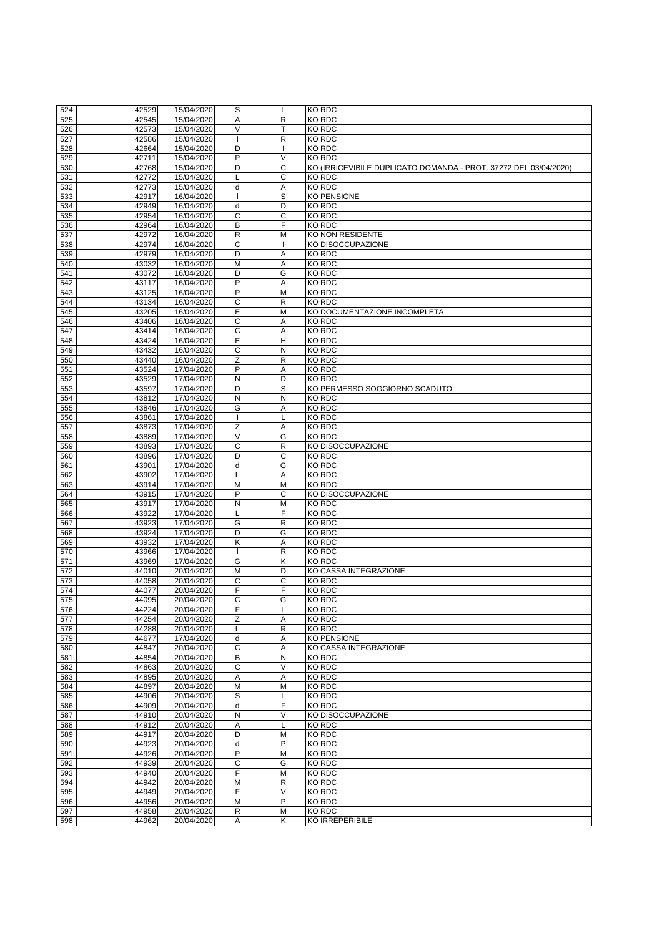| 524 | 42529 | 15/04/2020 | S              |                | <b>KO RDC</b>                                                    |
|-----|-------|------------|----------------|----------------|------------------------------------------------------------------|
| 525 | 42545 | 15/04/2020 | A              | $\mathsf{R}$   | <b>KO RDC</b>                                                    |
|     | 42573 | 15/04/2020 | V              |                | <b>KO RDC</b>                                                    |
| 526 |       |            |                |                |                                                                  |
| 527 | 42586 | 15/04/2020 |                | $\mathsf{R}$   | <b>KO RDC</b>                                                    |
| 528 | 42664 | 15/04/2020 | D              |                | <b>KO RDC</b>                                                    |
| 529 | 42711 | 15/04/2020 | $\mathsf{P}$   | V              | <b>KO RDC</b>                                                    |
| 530 | 42768 | 15/04/2020 | D              | $\mathsf{C}$   | KO (IRRICEVIBILE DUPLICATO DOMANDA - PROT. 37272 DEL 03/04/2020) |
| 531 | 42772 | 15/04/2020 |                | $\mathsf C$    | <b>KO RDC</b>                                                    |
| 532 | 42773 | 15/04/2020 | d              | A              | <b>KO RDC</b>                                                    |
| 533 | 42917 | 16/04/2020 |                | $\overline{s}$ | <b>KO PENSIONE</b>                                               |
| 534 | 42949 | 16/04/2020 | d              | D              | <b>KO RDC</b>                                                    |
| 535 | 42954 | 16/04/2020 | $\overline{C}$ | $\overline{C}$ | <b>KO RDC</b>                                                    |
| 536 | 42964 | 16/04/2020 | B              | F              | <b>KO RDC</b>                                                    |
| 537 | 42972 | 16/04/2020 | $\mathsf{R}$   | M              | <b>KO NON RESIDENTE</b>                                          |
| 538 | 42974 | 16/04/2020 | $\mathsf{C}$   |                | KO DISOCCUPAZIONE                                                |
| 539 | 42979 | 16/04/2020 | D              | Α              | <b>KO RDC</b>                                                    |
| 540 | 43032 | 16/04/2020 | M              | A              | <b>KO RDC</b>                                                    |
| 541 | 43072 | 16/04/2020 | D              | G              | <b>KO RDC</b>                                                    |
| 542 | 43117 | 16/04/2020 | P              | A              | <b>KO RDC</b>                                                    |
| 543 | 43125 | 16/04/2020 | P              | M              | <b>KO RDC</b>                                                    |
|     |       |            | $\mathsf C$    |                | <b>KO RDC</b>                                                    |
| 544 | 43134 | 16/04/2020 |                | $\mathsf{R}$   |                                                                  |
| 545 | 43205 | 16/04/2020 | E              | M              | KO DOCUMENTAZIONE INCOMPLETA                                     |
| 546 | 43406 | 16/04/2020 | $\mathsf C$    | Α              | <b>KO RDC</b>                                                    |
| 547 | 43414 | 16/04/2020 | $\mathsf{C}$   | Α              | <b>KO RDC</b>                                                    |
| 548 | 43424 | 16/04/2020 | E              | $\mathsf{H}$   | <b>KO RDC</b>                                                    |
| 549 | 43432 | 16/04/2020 | $\mathsf{C}$   | $\mathsf{N}$   | <b>KO RDC</b>                                                    |
| 550 | 43440 | 16/04/2020 | $\overline{Z}$ | $\mathsf{R}$   | <b>KO RDC</b>                                                    |
| 551 | 43524 | 17/04/2020 | P              | A              | <b>KO RDC</b>                                                    |
| 552 | 43529 | 17/04/2020 | $\mathsf{N}$   | D              | <b>KO RDC</b>                                                    |
| 553 | 43597 | 17/04/2020 | D              | S              | KO PERMESSO SOGGIORNO SCADUTO                                    |
| 554 | 43812 | 17/04/2020 | $\mathsf{N}$   | $\mathsf{N}$   | <b>KO RDC</b>                                                    |
| 555 | 43846 | 17/04/2020 | G              | Α              | <b>KO RDC</b>                                                    |
| 556 | 43861 | 17/04/2020 |                |                | <b>KO RDC</b>                                                    |
| 557 | 43873 | 17/04/2020 | Z              | A              | <b>KO RDC</b>                                                    |
| 558 | 43889 | 17/04/2020 | V              | G              | <b>KO RDC</b>                                                    |
| 559 | 43893 | 17/04/2020 | C              | R              | KO DISOCCUPAZIONE                                                |
| 560 | 43896 | 17/04/2020 | D              | C              | <b>KO RDC</b>                                                    |
| 561 | 43901 | 17/04/2020 | d              | G              | <b>KO RDC</b>                                                    |
| 562 | 43902 | 17/04/2020 |                | A              | KO RDC                                                           |
| 563 | 43914 | 17/04/2020 | M              | M              | KO RDC                                                           |
| 564 | 43915 | 17/04/2020 | P              | C              | KO DISOCCUPAZIONE                                                |
| 565 | 43917 | 17/04/2020 | N              | M              | <b>KO RDC</b>                                                    |
| 566 | 43922 | 17/04/2020 |                | F              | <b>KO RDC</b>                                                    |
| 567 | 43923 | 17/04/2020 | G              | $\mathsf{R}$   | <b>KO RDC</b>                                                    |
| 568 | 43924 | 17/04/2020 | D              | G              | <b>KO RDC</b>                                                    |
| 569 | 43932 | 17/04/2020 | Κ              | A              | <b>KO RDC</b>                                                    |
| 570 | 43966 | 17/04/2020 |                | $\mathsf{R}$   | <b>KO RDC</b>                                                    |
| 571 | 43969 | 17/04/2020 | G              | K              | KO RDC                                                           |
| 572 | 44010 | 20/04/2020 | M              | D              | KO CASSA INTEGRAZIONE                                            |
| 573 | 44058 | 20/04/2020 | $\mathsf{C}$   | $\mathsf{C}$   | <b>KO RDC</b>                                                    |
| 574 | 44077 | 20/04/2020 | F              | F              | <b>KO RDC</b>                                                    |
| 575 | 44095 | 20/04/2020 | $\mathsf C$    | G              | <b>KO RDC</b>                                                    |
|     |       |            | F              |                | <b>KO RDC</b>                                                    |
| 576 | 44224 | 20/04/2020 |                |                |                                                                  |
| 577 | 44254 | 20/04/2020 | Z              | A              | <b>KO RDC</b>                                                    |
| 578 | 44288 | 20/04/2020 |                | $\mathsf{R}$   | <b>KO RDC</b>                                                    |
| 579 | 44677 | 17/04/2020 | d              | A              | <b>KO PENSIONE</b>                                               |
| 580 | 44847 | 20/04/2020 | C              | Α              | KO CASSA INTEGRAZIONE                                            |
| 581 | 44854 | 20/04/2020 | B              | N              | <b>KO RDC</b>                                                    |
| 582 | 44863 | 20/04/2020 | C              | $\vee$         | <b>KO RDC</b>                                                    |
| 583 | 44895 | 20/04/2020 | A              | A              | <b>KO RDC</b>                                                    |
| 584 | 44897 | 20/04/2020 | M              | M              | <b>KO RDC</b>                                                    |
| 585 | 44906 | 20/04/2020 | S              |                | <b>KO RDC</b>                                                    |
| 586 | 44909 | 20/04/2020 | d              | F              | KO RDC                                                           |
| 587 | 44910 | 20/04/2020 | $\mathsf{N}$   | $\vee$         | KO DISOCCUPAZIONE                                                |
| 588 | 44912 | 20/04/2020 | A              |                | <b>KO RDC</b>                                                    |
| 589 | 44917 | 20/04/2020 | D              | M              | <b>KO RDC</b>                                                    |
| 590 | 44923 | 20/04/2020 | d              | P              | <b>KO RDC</b>                                                    |
| 591 | 44926 | 20/04/2020 | P              | M              | <b>KO RDC</b>                                                    |
| 592 | 44939 | 20/04/2020 | $\mathsf{C}$   | G              | <b>KO RDC</b>                                                    |
| 593 | 44940 | 20/04/2020 | F              | M              | <b>KO RDC</b>                                                    |
| 594 | 44942 | 20/04/2020 | M              | R              | <b>KO RDC</b>                                                    |
| 595 | 44949 | 20/04/2020 | F              | $\vee$         | <b>KO RDC</b>                                                    |
| 596 | 44956 | 20/04/2020 | M              | $\mathsf{P}$   | KO RDC                                                           |
| 597 | 44958 | 20/04/2020 | $\mathsf{R}$   | M              | <b>KO RDC</b>                                                    |
| 598 | 44962 | 20/04/2020 | $\overline{A}$ | K              | KO IRREPERIBILE                                                  |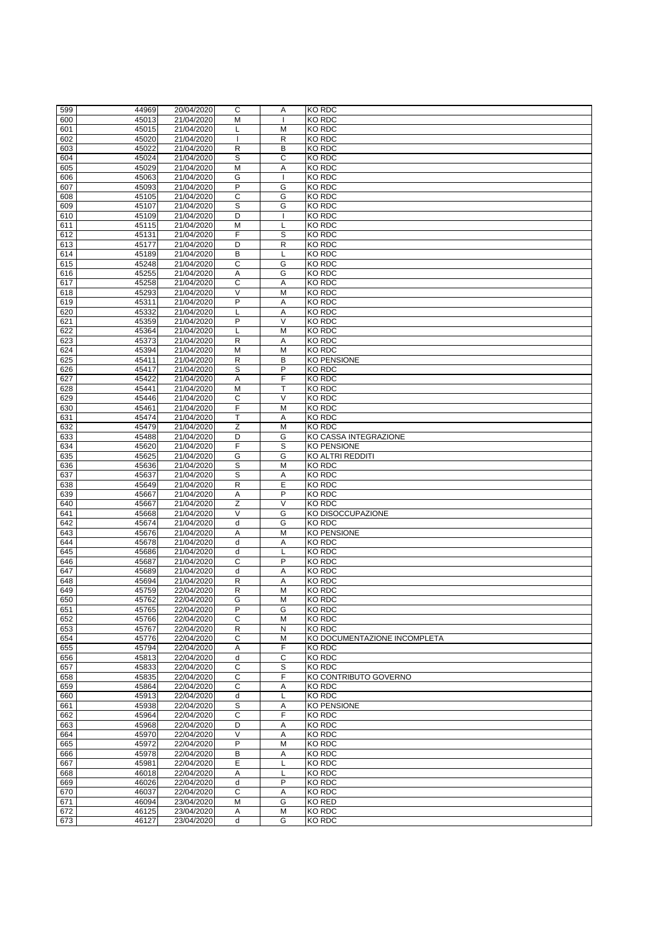| 599 | 44969 | 20/04/2020 | C              | A                       | <b>KO RDC</b>                |
|-----|-------|------------|----------------|-------------------------|------------------------------|
|     |       |            |                |                         |                              |
| 600 | 45013 | 21/04/2020 | M              |                         | <b>KO RDC</b>                |
| 601 | 45015 | 21/04/2020 |                | M                       | <b>KO RDC</b>                |
| 602 | 45020 | 21/04/2020 |                | $\mathsf{R}$            | <b>KO RDC</b>                |
| 603 | 45022 | 21/04/2020 | $\mathsf{R}$   | B                       | KO RDC                       |
| 604 | 45024 | 21/04/2020 | $\mathsf S$    | $\mathsf{C}$            | <b>KO RDC</b>                |
|     |       |            |                |                         |                              |
| 605 | 45029 | 21/04/2020 | $\overline{M}$ | A                       | <b>KO RDC</b>                |
| 606 | 45063 | 21/04/2020 | G              |                         | <b>KO RDC</b>                |
| 607 | 45093 | 21/04/2020 | $\overline{P}$ | G                       | <b>KO RDC</b>                |
| 608 | 45105 | 21/04/2020 | $\mathsf C$    | G                       | <b>KO RDC</b>                |
| 609 | 45107 | 21/04/2020 | $\overline{s}$ | G                       | <b>KO RDC</b>                |
|     | 45109 | 21/04/2020 | $\overline{D}$ |                         | <b>KO RDC</b>                |
| 610 |       |            |                |                         |                              |
| 611 | 45115 | 21/04/2020 | M              |                         | <b>KO RDC</b>                |
| 612 | 45131 | 21/04/2020 | F              | S                       | <b>KO RDC</b>                |
| 613 | 45177 | 21/04/2020 | D              | $\mathsf{R}$            | <b>KO RDC</b>                |
| 614 | 45189 | 21/04/2020 | B              |                         | <b>KO RDC</b>                |
| 615 | 45248 | 21/04/2020 | $\mathsf C$    | G                       | <b>KO RDC</b>                |
|     |       | 21/04/2020 |                | G                       | <b>KO RDC</b>                |
| 616 | 45255 |            | A              |                         |                              |
| 617 | 45258 | 21/04/2020 | $\mathsf{C}$   | A                       | <b>KO RDC</b>                |
| 618 | 45293 | 21/04/2020 | $\vee$         | M                       | <b>KO RDC</b>                |
| 619 | 45311 | 21/04/2020 | P              | A                       | KO RDC                       |
| 620 | 45332 | 21/04/2020 |                | A                       | <b>KO RDC</b>                |
| 621 | 45359 | 21/04/2020 | P              | V                       | <b>KO RDC</b>                |
|     |       |            |                |                         |                              |
| 622 | 45364 | 21/04/2020 |                | M                       | <b>KO RDC</b>                |
| 623 | 45373 | 21/04/2020 | ${\sf R}$      | A                       | <b>KO RDC</b>                |
| 624 | 45394 | 21/04/2020 | M              | M                       | <b>KO RDC</b>                |
| 625 | 45411 | 21/04/2020 | $\mathsf{R}$   | B                       | <b>KO PENSIONE</b>           |
| 626 | 45417 | 21/04/2020 | $\overline{s}$ | $\overline{\mathsf{P}}$ | <b>KO RDC</b>                |
| 627 | 45422 | 21/04/2020 | A              | F                       | <b>KO RDC</b>                |
|     |       |            |                |                         |                              |
| 628 | 45441 | 21/04/2020 | $\overline{M}$ | T                       | <b>KO RDC</b>                |
| 629 | 45446 | 21/04/2020 | $\mathsf C$    | $\vee$                  | <b>KO RDC</b>                |
| 630 | 45461 | 21/04/2020 | F              | M                       | <b>KO RDC</b>                |
| 631 | 45474 | 21/04/2020 | T              | A                       | <b>KO RDC</b>                |
| 632 | 45479 | 21/04/2020 | Ζ              | M                       | <b>KO RDC</b>                |
|     |       |            |                |                         |                              |
| 633 | 45488 | 21/04/2020 | D              | G                       | KO CASSA INTEGRAZIONE        |
| 634 | 45620 | 21/04/2020 | F              | S                       | <b>KO PENSIONE</b>           |
| 635 | 45625 | 21/04/2020 | G              | G                       | <b>KO ALTRI REDDITI</b>      |
| 636 | 45636 | 21/04/2020 | $\mathsf S$    | M                       | <b>KO RDC</b>                |
| 637 | 45637 | 21/04/2020 | S              | Α                       | KO RDC                       |
| 638 | 45649 | 21/04/2020 | $\mathsf{R}$   | E                       | <b>KO RDC</b>                |
|     |       |            |                | P                       |                              |
| 639 | 45667 | 21/04/2020 | A              |                         | <b>KO RDC</b>                |
| 640 | 45667 | 21/04/2020 | Z              | $\vee$                  | <b>KO RDC</b>                |
| 641 | 45668 | 21/04/2020 | $\vee$         | G                       | KO DISOCCUPAZIONE            |
| 642 | 45674 | 21/04/2020 | d              | G                       | <b>KO RDC</b>                |
| 643 | 45676 | 21/04/2020 | A              | M                       | <b>KO PENSIONE</b>           |
| 644 | 45678 | 21/04/2020 | d              |                         | <b>KO RDC</b>                |
|     |       |            |                | A                       |                              |
| 645 | 45686 | 21/04/2020 | d              |                         | KO RDC                       |
| 646 | 45687 | 21/04/2020 | $\mathsf{C}$   | P                       | <b>KO RDC</b>                |
| 647 | 45689 | 21/04/2020 | d              | Α                       | <b>KO RDC</b>                |
| 648 | 45694 | 21/04/2020 | $\mathsf{R}$   | A                       | <b>KO RDC</b>                |
| 649 | 45759 | 22/04/2020 | $\mathsf{R}$   | M                       | <b>KO RDC</b>                |
| 650 | 45762 | 22/04/2020 | G              | M                       | <b>KO RDC</b>                |
|     |       |            |                |                         |                              |
| 651 | 45765 | 22/04/2020 | P              | G                       | <b>KO RDC</b>                |
| 652 | 45766 | 22/04/2020 | $\mathsf{C}$   | M                       | <b>KO RDC</b>                |
| 653 | 45767 | 22/04/2020 | $\mathsf{R}$   | N                       | <b>KO RDC</b>                |
| 654 | 45776 | 22/04/2020 | C              | M                       | KO DOCUMENTAZIONE INCOMPLETA |
| 655 | 45794 | 22/04/2020 | A              | F                       | <b>KO RDC</b>                |
| 656 | 45813 | 22/04/2020 | d              | C                       | <b>KO RDC</b>                |
|     |       |            |                |                         |                              |
| 657 | 45833 | 22/04/2020 | C              | $\overline{s}$          | <b>KO RDC</b>                |
| 658 | 45835 | 22/04/2020 | $\mathsf C$    | F                       | <b>KO CONTRIBUTO GOVERNO</b> |
| 659 | 45864 | 22/04/2020 | $\mathsf{C}$   | Α                       | <b>KO RDC</b>                |
| 660 | 45913 | 22/04/2020 | $\sf d$        |                         | <b>KO RDC</b>                |
| 661 | 45938 | 22/04/2020 | S              | A                       | <b>KO PENSIONE</b>           |
|     |       |            |                | F                       |                              |
| 662 | 45964 | 22/04/2020 | $\mathsf C$    |                         | <b>KO RDC</b>                |
| 663 | 45968 | 22/04/2020 | D              | A                       | <b>KO RDC</b>                |
| 664 | 45970 | 22/04/2020 | $\vee$         | A                       | <b>KO RDC</b>                |
| 665 | 45972 | 22/04/2020 | P              | M                       | <b>KO RDC</b>                |
| 666 | 45978 | 22/04/2020 | B              | A                       | <b>KO RDC</b>                |
| 667 | 45981 | 22/04/2020 | E              |                         | <b>KO RDC</b>                |
|     |       |            |                |                         |                              |
| 668 | 46018 | 22/04/2020 | A              |                         | <b>KO RDC</b>                |
| 669 | 46026 | 22/04/2020 | $\sf d$        | ${\sf P}$               | KO RDC                       |
| 670 | 46037 | 22/04/2020 | $\mathsf{C}$   | A                       | <b>KO RDC</b>                |
| 671 | 46094 | 23/04/2020 | M              | G                       | <b>KO RED</b>                |
| 672 | 46125 | 23/04/2020 | Α              | M                       | <b>KO RDC</b>                |
|     |       | 23/04/2020 | d              | G                       | <b>KO RDC</b>                |
| 673 | 46127 |            |                |                         |                              |